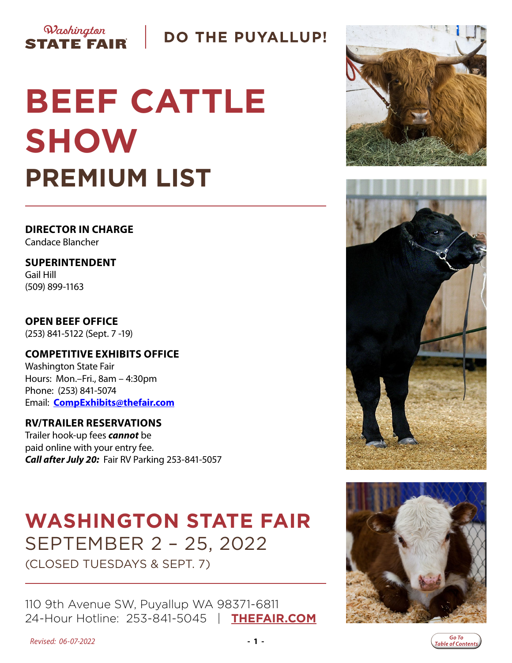

# **DO THE PUYALLUP!**

# **BEEF CATTLE SHOW PREMIUM LIST**

**DIRECTOR IN CHARGE** Candace Blancher

**SUPERINTENDENT** Gail Hill (509) 899-1163

**OPEN BEEF OFFICE** (253) 841-5122 (Sept. 7 -19)

**COMPETITIVE EXHIBITS OFFICE** Washington State Fair Hours: Mon.–Fri., 8am – 4:30pm Phone: (253) 841-5074 Email: **[CompExhibits@thefair.com](mailto:CompExhibits%40thefair.com?subject=Beef%20Cattle%20Show%20inquiry)**

### **RV/TRAILER RESERVATIONS**

Trailer hook-up fees *cannot* be paid online with your entry fee. *Call after July 20:* Fair RV Parking 253-841-5057

# **WASHINGTON STATE FAIR** SEPTEMBER 2 – 25, 2022

(CLOSED TUESDAYS & SEPT. 7)

110 9th Avenue SW, Puyallup WA 98371-6811 24-Hour Hotline: 253-841-5045 | **[THEFAIR.COM](http://www.thefair.com)**







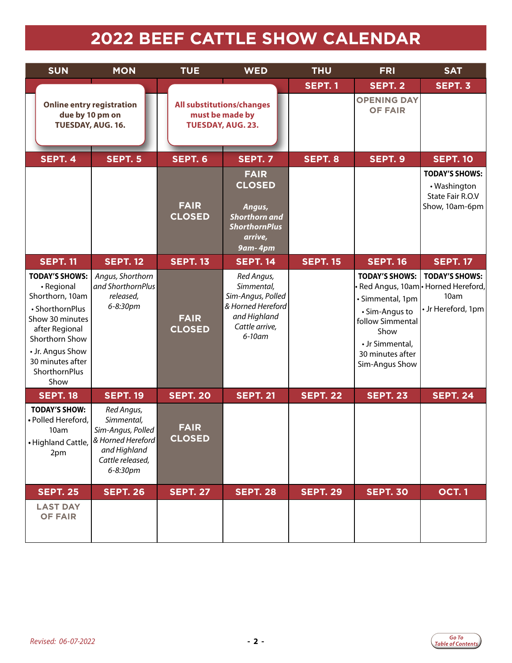# **2022 BEEF CATTLE SHOW CALENDAR**

<span id="page-1-0"></span>

| <b>SUN</b>                                                                                                                                                                                        | <b>MON</b>                                                                                                                              | <b>TUE</b>                   | <b>WED</b>                                                                                                     | <b>THU</b>      | <b>FRI</b>                                                                                                                                       | <b>SAT</b>                                                                                  |
|---------------------------------------------------------------------------------------------------------------------------------------------------------------------------------------------------|-----------------------------------------------------------------------------------------------------------------------------------------|------------------------------|----------------------------------------------------------------------------------------------------------------|-----------------|--------------------------------------------------------------------------------------------------------------------------------------------------|---------------------------------------------------------------------------------------------|
|                                                                                                                                                                                                   |                                                                                                                                         |                              |                                                                                                                | <b>SEPT. 1</b>  | SEPT. 2                                                                                                                                          | SEPT. 3                                                                                     |
| due by 10 pm on<br>TUESDAY, AUG. 16.                                                                                                                                                              | <b>Online entry registration</b>                                                                                                        | <b>TUESDAY, AUG. 23.</b>     | <b>All substitutions/changes</b><br>must be made by                                                            |                 | <b>OPENING DAY</b><br><b>OF FAIR</b>                                                                                                             |                                                                                             |
| <b>SEPT. 4</b>                                                                                                                                                                                    | SEPT. 5                                                                                                                                 | SEPT. 6                      | <b>SEPT. 7</b>                                                                                                 | SEPT. 8         | SEPT. 9                                                                                                                                          | <b>SEPT. 10</b>                                                                             |
|                                                                                                                                                                                                   |                                                                                                                                         | <b>FAIR</b><br><b>CLOSED</b> | <b>FAIR</b><br><b>CLOSED</b><br>Angus,<br><b>Shorthorn and</b><br><b>ShorthornPlus</b><br>arrive,<br>9am-4pm   |                 |                                                                                                                                                  | <b>TODAY'S SHOWS:</b><br>• Washington<br>State Fair R.O.V<br>Show, 10am-6pm                 |
| <b>SEPT. 11</b>                                                                                                                                                                                   | <b>SEPT. 12</b>                                                                                                                         | <b>SEPT. 13</b>              | <b>SEPT. 14</b>                                                                                                | <b>SEPT. 15</b> | <b>SEPT. 16</b>                                                                                                                                  | <b>SEPT. 17</b>                                                                             |
| <b>TODAY'S SHOWS:</b><br>· Regional<br>Shorthorn, 10am<br>• ShorthornPlus<br>Show 30 minutes<br>after Regional<br>Shorthorn Show<br>• Jr. Angus Show<br>30 minutes after<br>ShorthornPlus<br>Show | Angus, Shorthorn<br>and ShorthornPlus<br>released,<br>6-8:30pm                                                                          | <b>FAIR</b><br><b>CLOSED</b> | Red Angus,<br>Simmental,<br>Sim-Angus, Polled<br>& Horned Hereford<br>and Highland<br>Cattle arrive,<br>6-10am |                 | <b>TODAY'S SHOWS:</b><br>· Simmental, 1pm<br>• Sim-Angus to<br>follow Simmental<br>Show<br>• Jr Simmental,<br>30 minutes after<br>Sim-Angus Show | <b>TODAY'S SHOWS:</b><br>∙ Red Angus, 10am • Horned Hereford,<br>10am<br>• Jr Hereford, 1pm |
| <b>SEPT. 18</b>                                                                                                                                                                                   | <b>SEPT. 19</b>                                                                                                                         | <b>SEPT. 20</b>              | <b>SEPT. 21</b>                                                                                                | <b>SEPT. 22</b> | <b>SEPT. 23</b>                                                                                                                                  | <b>SEPT. 24</b>                                                                             |
| <b>TODAY'S SHOW:</b><br>· Polled Hereford,<br>10am<br>2pm                                                                                                                                         | Red Angus,<br>Simmental,<br>Sim-Angus, Polled<br>• Highland Cattle,   & Horned Hereford<br>and Highland<br>Cattle released,<br>6-8:30pm | <b>FAIR</b><br><b>CLOSED</b> |                                                                                                                |                 |                                                                                                                                                  |                                                                                             |
| <b>SEPT. 25</b>                                                                                                                                                                                   | <b>SEPT. 26</b>                                                                                                                         | <b>SEPT. 27</b>              | <b>SEPT. 28</b>                                                                                                | <b>SEPT. 29</b> | <b>SEPT. 30</b>                                                                                                                                  | <b>OCT.1</b>                                                                                |
| <b>LAST DAY</b><br><b>OF FAIR</b>                                                                                                                                                                 |                                                                                                                                         |                              |                                                                                                                |                 |                                                                                                                                                  |                                                                                             |

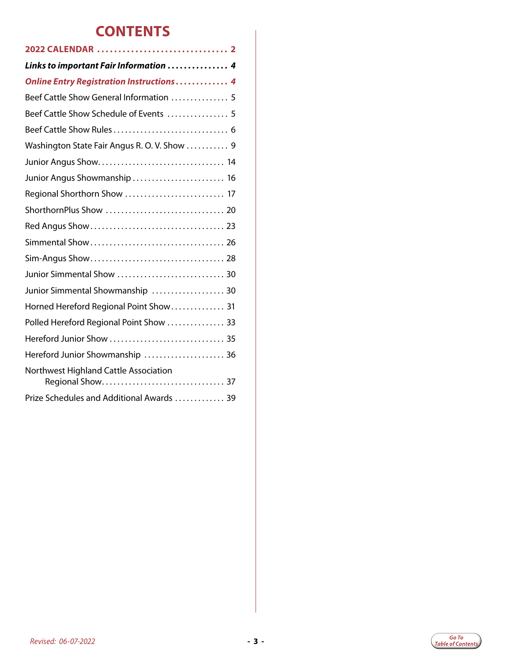# **CONTENTS**

| Links to important Fair Information  4          |
|-------------------------------------------------|
| <b>Online Entry Registration Instructions 4</b> |
| Beef Cattle Show General Information  5         |
| Beef Cattle Show Schedule of Events  5          |
|                                                 |
| Washington State Fair Angus R.O.V. Show  9      |
|                                                 |
| Junior Angus Showmanship  16                    |
| Regional Shorthorn Show  17                     |
|                                                 |
|                                                 |
|                                                 |
|                                                 |
| Junior Simmental Show  30                       |
| Junior Simmental Showmanship  30                |
| Horned Hereford Regional Point Show 31          |
| Polled Hereford Regional Point Show  33         |
| Hereford Junior Show  35                        |
| Hereford Junior Showmanship  36                 |
| Northwest Highland Cattle Association           |
| Prize Schedules and Additional Awards  39       |

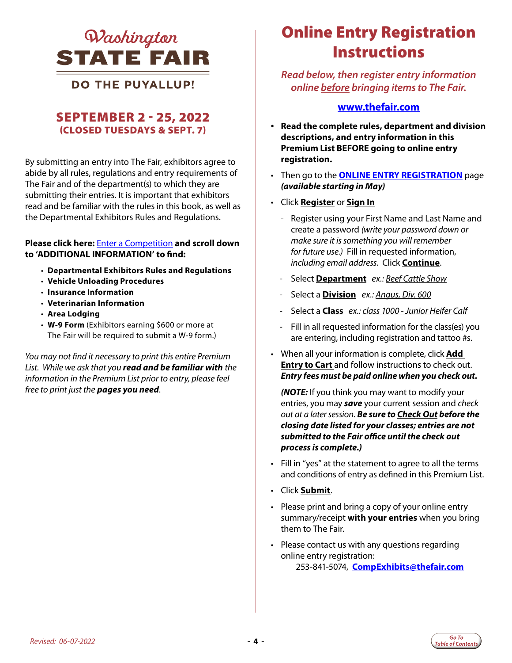<span id="page-3-0"></span>

**DO THE PUYALLUP!** 

### SEPTEMBER 2 - 25, 2022 (CLOSED TUESDAYS & SEPT. 7)

By submitting an entry into The Fair, exhibitors agree to abide by all rules, regulations and entry requirements of The Fair and of the department(s) to which they are submitting their entries. It is important that exhibitors read and be familiar with the rules in this book, as well as the Departmental Exhibitors Rules and Regulations.

#### **Please click here:** [Enter a Competition](https://www.thefair.com/get-involved/competitive-exhibits/) **and scroll down to 'ADDITIONAL INFORMATION' to find:**

- **Departmental Exhibitors Rules and Regulations**
- **Vehicle Unloading Procedures**
- **Insurance Information**
- **Veterinarian Information**
- **Area Lodging**
- **W-9 Form** (Exhibitors earning \$600 or more at The Fair will be required to submit a W-9 form.)

*You may not find it necessary to print this entire Premium List. While we ask that you read and be familiar with the information in the Premium List prior to entry, please feel free to print just the pages you need*.

# *QInchinaton Online Entry Registration* **Instructions**

*Read below, then register entry information online before bringing items to The Fair.* 

#### **www.thefair.com**

- **Read the complete rules, department and division descriptions, and entry information in this Premium List BEFORE going to online entry registration.**
- Then go to the **[ONLINE ENTRY REGISTRATION](http://wwf.fairmanager.com/)** page *(available starting in May)*
- Click **Register** or **Sign In**
	- Register using your First Name and Last Name and create a password *(write your password down or make sure it is something you will remember for future use.)* Fill in requested information, *including email address*. Click **Continue**.
	- Select **Department** *ex.: Beef Cattle Show*
	- Select a **Division** *ex.: Angus, Div. 600*
	- Select a **Class** *ex.: class 1000 Junior Heifer Calf*
	- Fill in all requested information for the class(es) you are entering, including registration and tattoo #s.
- When all your information is complete, click **Add Entry to Cart** and follow instructions to check out. *Entry fees must be paid online when you check out.*

*(NOTE:* If you think you may want to modify your entries, you may *save* your current session and *check out at a later session*. *Be sure to Check Out before the closing date listed for your classes; entries are not submitted to the Fair office until the check out process is complete.)*

- Fill in "yes" at the statement to agree to all the terms and conditions of entry as defined in this Premium List.
- Click **Submit**.
- Please print and bring a copy of your online entry summary/receipt **with your entries** when you bring them to The Fair.
- Please contact us with any questions regarding online entry registration: 253-841-5074, **[CompExhibits@thefair.com](mailto:CompExhibits%40thefair.com?subject=Beef%20Cattle%20Show)**

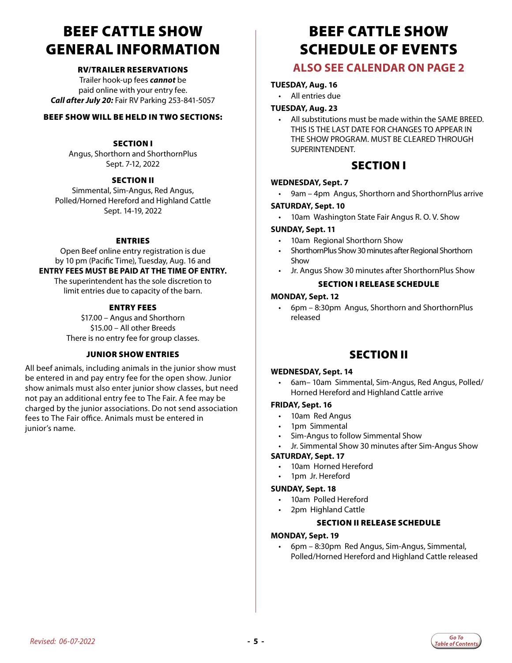# <span id="page-4-0"></span>BEEF CATTLE SHOW GENERAL INFORMATION

#### RV/TRAILER RESERVATIONS

Trailer hook-up fees *cannot* be paid online with your entry fee. *Call after July 20:* Fair RV Parking 253-841-5057

#### BEEF SHOW WILL BE HELD IN TWO SECTIONS:

#### **SECTION I**

Angus, Shorthorn and ShorthornPlus Sept. 7-12, 2022

#### SECTION II

Simmental, Sim-Angus, Red Angus, Polled/Horned Hereford and Highland Cattle Sept. 14-19, 2022

#### ENTRIES

Open Beef online entry registration is due by 10 pm (Pacific Time), Tuesday, Aug. 16 and **ENTRY FEES MUST BE PAID AT THE TIME OF ENTRY.** 

The superintendent has the sole discretion to limit entries due to capacity of the barn.

#### ENTRY FEES

\$17.00 – Angus and Shorthorn \$15.00 – All other Breeds There is no entry fee for group classes.

#### JUNIOR SHOW ENTRIES

All beef animals, including animals in the junior show must be entered in and pay entry fee for the open show. Junior show animals must also enter junior show classes, but need not pay an additional entry fee to The Fair. A fee may be charged by the junior associations. Do not send association fees to The Fair office. Animals must be entered in junior's name.

# BEEF CATTLE SHOW SCHEDULE OF EVENTS

### **ALSO SEE CALENDAR ON PAGE 2**

#### **TUESDAY, Aug. 16**

• All entries due

#### **TUESDAY, Aug. 23**

• All substitutions must be made within the SAME BREED. THIS IS THE LAST DATE FOR CHANGES TO APPEAR IN THE SHOW PROGRAM. MUST BE CLEARED THROUGH SUPERINTENDENT.

#### SECTION I

#### **WEDNESDAY, Sept. 7**

9am – 4pm Angus, Shorthorn and ShorthornPlus arrive

#### **SATURDAY, Sept. 10**

10am Washington State Fair Angus R. O. V. Show

#### **SUNDAY, Sept. 11**

- 10am Regional Shorthorn Show
- ShorthornPlus Show 30 minutes after Regional Shorthorn Show
- Jr. Angus Show 30 minutes after ShorthornPlus Show

#### SECTION I RELEASE SCHEDULE

#### **MONDAY, Sept. 12**

• 6pm – 8:30pm Angus, Shorthorn and ShorthornPlus released

### SECTION II

#### **WEDNESDAY, Sept. 14**

• 6am– 10am Simmental, Sim-Angus, Red Angus, Polled/ Horned Hereford and Highland Cattle arrive

#### **FRIDAY, Sept. 16**

- 10am Red Angus
- 1pm Simmental
- Sim-Angus to follow Simmental Show
- Jr. Simmental Show 30 minutes after Sim-Angus Show

#### **SATURDAY, Sept. 17**

- 10am Horned Hereford
- 1pm Jr. Hereford

#### **SUNDAY, Sept. 18**

- 10am Polled Hereford
	- 2pm Highland Cattle

#### SECTION II RELEASE SCHEDULE

#### **MONDAY, Sept. 19**

• 6pm – 8:30pm Red Angus, Sim-Angus, Simmental, Polled/Horned Hereford and Highland Cattle released

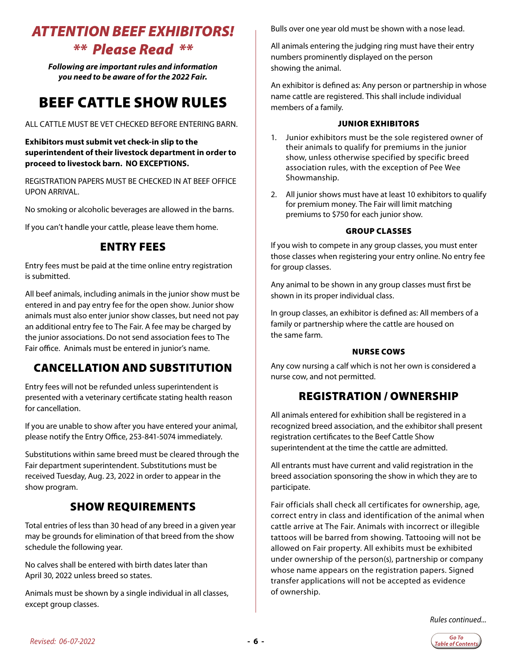# <span id="page-5-0"></span>*ATTENTION BEEF EXHIBITORS!*

### *\*\* Please Read \*\**

*Following are important rules and information you need to be aware of for the 2022 Fair.*

# BEEF CATTLE SHOW RULES

#### ALL CATTLE MUST BE VET CHECKED BEFORE ENTERING BARN.

#### **Exhibitors must submit vet check-in slip to the superintendent of their livestock department in order to proceed to livestock barn. NO EXCEPTIONS.**

REGISTRATION PAPERS MUST BE CHECKED IN AT BEEF OFFICE UPON ARRIVAL.

No smoking or alcoholic beverages are allowed in the barns.

If you can't handle your cattle, please leave them home.

### ENTRY FEES

Entry fees must be paid at the time online entry registration is submitted.

All beef animals, including animals in the junior show must be entered in and pay entry fee for the open show. Junior show animals must also enter junior show classes, but need not pay an additional entry fee to The Fair. A fee may be charged by the junior associations. Do not send association fees to The Fair office. Animals must be entered in junior's name.

### CANCELLATION AND SUBSTITUTION

Entry fees will not be refunded unless superintendent is presented with a veterinary certificate stating health reason for cancellation.

If you are unable to show after you have entered your animal, please notify the Entry Office, 253-841-5074 immediately.

Substitutions within same breed must be cleared through the Fair department superintendent. Substitutions must be received Tuesday, Aug. 23, 2022 in order to appear in the show program.

### SHOW REQUIREMENTS

Total entries of less than 30 head of any breed in a given year may be grounds for elimination of that breed from the show schedule the following year.

No calves shall be entered with birth dates later than April 30, 2022 unless breed so states.

Animals must be shown by a single individual in all classes, except group classes.

Bulls over one year old must be shown with a nose lead.

All animals entering the judging ring must have their entry numbers prominently displayed on the person showing the animal.

An exhibitor is defined as: Any person or partnership in whose name cattle are registered. This shall include individual members of a family.

#### JUNIOR EXHIBITORS

- 1. Junior exhibitors must be the sole registered owner of their animals to qualify for premiums in the junior show, unless otherwise specified by specific breed association rules, with the exception of Pee Wee Showmanship.
- 2. All junior shows must have at least 10 exhibitors to qualify for premium money. The Fair will limit matching premiums to \$750 for each junior show.

#### GROUP CLASSES

If you wish to compete in any group classes, you must enter those classes when registering your entry online. No entry fee for group classes.

Any animal to be shown in any group classes must first be shown in its proper individual class.

In group classes, an exhibitor is defined as: All members of a family or partnership where the cattle are housed on the same farm.

#### NURSE COWS

Any cow nursing a calf which is not her own is considered a nurse cow, and not permitted.

### REGISTRATION / OWNERSHIP

All animals entered for exhibition shall be registered in a recognized breed association, and the exhibitor shall present registration certificates to the Beef Cattle Show superintendent at the time the cattle are admitted.

All entrants must have current and valid registration in the breed association sponsoring the show in which they are to participate.

Fair officials shall check all certificates for ownership, age, correct entry in class and identification of the animal when cattle arrive at The Fair. Animals with incorrect or illegible tattoos will be barred from showing. Tattooing will not be allowed on Fair property. All exhibits must be exhibited under ownership of the person(s), partnership or company whose name appears on the registration papers. Signed transfer applications will not be accepted as evidence of ownership.

*Rules continued...*

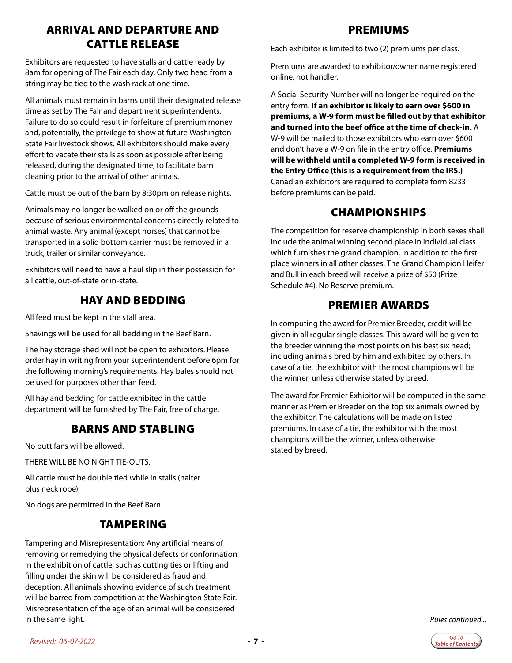### ARRIVAL AND DEPARTURE AND CATTLE RELEASE

Exhibitors are requested to have stalls and cattle ready by 8am for opening of The Fair each day. Only two head from a string may be tied to the wash rack at one time.

All animals must remain in barns until their designated release time as set by The Fair and department superintendents. Failure to do so could result in forfeiture of premium money and, potentially, the privilege to show at future Washington State Fair livestock shows. All exhibitors should make every effort to vacate their stalls as soon as possible after being released, during the designated time, to facilitate barn cleaning prior to the arrival of other animals.

Cattle must be out of the barn by 8:30pm on release nights.

Animals may no longer be walked on or off the grounds because of serious environmental concerns directly related to animal waste. Any animal (except horses) that cannot be transported in a solid bottom carrier must be removed in a truck, trailer or similar conveyance.

Exhibitors will need to have a haul slip in their possession for all cattle, out-of-state or in-state.

### HAY AND BEDDING

All feed must be kept in the stall area.

Shavings will be used for all bedding in the Beef Barn.

The hay storage shed will not be open to exhibitors. Please order hay in writing from your superintendent before 6pm for the following morning's requirements. Hay bales should not be used for purposes other than feed.

All hay and bedding for cattle exhibited in the cattle department will be furnished by The Fair, free of charge.

### BARNS AND STABLING

No butt fans will be allowed.

THERE WILL BE NO NIGHT TIE-OUTS.

All cattle must be double tied while in stalls (halter plus neck rope).

No dogs are permitted in the Beef Barn.

### TAMPERING

Tampering and Misrepresentation: Any artificial means of removing or remedying the physical defects or conformation in the exhibition of cattle, such as cutting ties or lifting and filling under the skin will be considered as fraud and deception. All animals showing evidence of such treatment will be barred from competition at the Washington State Fair. Misrepresentation of the age of an animal will be considered in the same light.

#### PREMIUMS

Each exhibitor is limited to two (2) premiums per class.

Premiums are awarded to exhibitor/owner name registered online, not handler.

A Social Security Number will no longer be required on the entry form. **If an exhibitor is likely to earn over \$600 in premiums, a W-9 form must be filled out by that exhibitor and turned into the beef office at the time of check-in.** A W-9 will be mailed to those exhibitors who earn over \$600 and don't have a W-9 on file in the entry office. **Premiums will be withheld until a completed W-9 form is received in the Entry Office (this is a requirement from the IRS.)** Canadian exhibitors are required to complete form 8233 before premiums can be paid.

### CHAMPIONSHIPS

The competition for reserve championship in both sexes shall include the animal winning second place in individual class which furnishes the grand champion, in addition to the first place winners in all other classes. The Grand Champion Heifer and Bull in each breed will receive a prize of \$50 (Prize Schedule #4). No Reserve premium.

### PREMIER AWARDS

In computing the award for Premier Breeder, credit will be given in all regular single classes. This award will be given to the breeder winning the most points on his best six head; including animals bred by him and exhibited by others. In case of a tie, the exhibitor with the most champions will be the winner, unless otherwise stated by breed.

The award for Premier Exhibitor will be computed in the same manner as Premier Breeder on the top six animals owned by the exhibitor. The calculations will be made on listed premiums. In case of a tie, the exhibitor with the most champions will be the winner, unless otherwise stated by breed.

*Rules continued...*

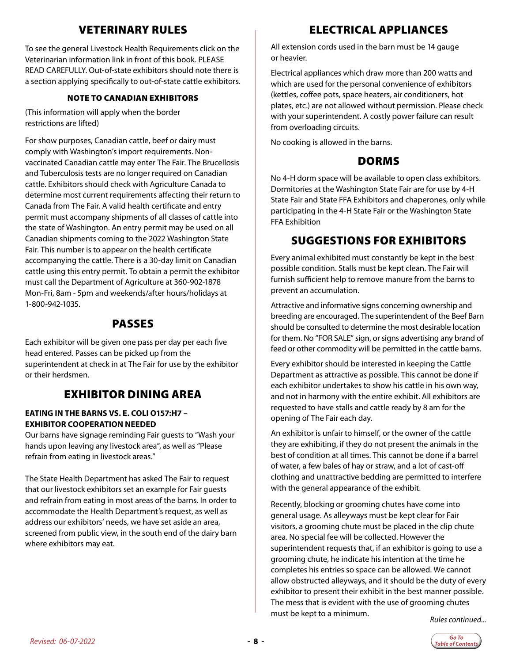### VETERINARY RULES

To see the general Livestock Health Requirements click on the Veterinarian information link in front of this book. PLEASE READ CAREFULLY. Out-of-state exhibitors should note there is a section applying specifically to out-of-state cattle exhibitors.

#### NOTE TO CANADIAN EXHIBITORS

(This information will apply when the border restrictions are lifted)

For show purposes, Canadian cattle, beef or dairy must comply with Washington's import requirements. Nonvaccinated Canadian cattle may enter The Fair. The Brucellosis and Tuberculosis tests are no longer required on Canadian cattle. Exhibitors should check with Agriculture Canada to determine most current requirements affecting their return to Canada from The Fair. A valid health certificate and entry permit must accompany shipments of all classes of cattle into the state of Washington. An entry permit may be used on all Canadian shipments coming to the 2022 Washington State Fair. This number is to appear on the health certificate accompanying the cattle. There is a 30-day limit on Canadian cattle using this entry permit. To obtain a permit the exhibitor must call the Department of Agriculture at 360-902-1878 Mon-Fri, 8am - 5pm and weekends/after hours/holidays at 1-800-942-1035.

### PASSES

Each exhibitor will be given one pass per day per each five head entered. Passes can be picked up from the superintendent at check in at The Fair for use by the exhibitor or their herdsmen.

### EXHIBITOR DINING AREA

#### **EATING IN THE BARNS VS. E. COLI O157:H7 – EXHIBITOR COOPERATION NEEDED**

Our barns have signage reminding Fair guests to "Wash your hands upon leaving any livestock area", as well as "Please refrain from eating in livestock areas."

The State Health Department has asked The Fair to request that our livestock exhibitors set an example for Fair guests and refrain from eating in most areas of the barns. In order to accommodate the Health Department's request, as well as address our exhibitors' needs, we have set aside an area, screened from public view, in the south end of the dairy barn where exhibitors may eat.

### ELECTRICAL APPLIANCES

All extension cords used in the barn must be 14 gauge or heavier.

Electrical appliances which draw more than 200 watts and which are used for the personal convenience of exhibitors (kettles, coffee pots, space heaters, air conditioners, hot plates, etc.) are not allowed without permission. Please check with your superintendent. A costly power failure can result from overloading circuits.

No cooking is allowed in the barns.

### **DORMS**

No 4-H dorm space will be available to open class exhibitors. Dormitories at the Washington State Fair are for use by 4-H State Fair and State FFA Exhibitors and chaperones, only while participating in the 4-H State Fair or the Washington State FFA Exhibition

### SUGGESTIONS FOR EXHIBITORS

Every animal exhibited must constantly be kept in the best possible condition. Stalls must be kept clean. The Fair will furnish sufficient help to remove manure from the barns to prevent an accumulation.

Attractive and informative signs concerning ownership and breeding are encouraged. The superintendent of the Beef Barn should be consulted to determine the most desirable location for them. No "FOR SALE" sign, or signs advertising any brand of feed or other commodity will be permitted in the cattle barns.

Every exhibitor should be interested in keeping the Cattle Department as attractive as possible. This cannot be done if each exhibitor undertakes to show his cattle in his own way, and not in harmony with the entire exhibit. All exhibitors are requested to have stalls and cattle ready by 8 am for the opening of The Fair each day.

An exhibitor is unfair to himself, or the owner of the cattle they are exhibiting, if they do not present the animals in the best of condition at all times. This cannot be done if a barrel of water, a few bales of hay or straw, and a lot of cast-off clothing and unattractive bedding are permitted to interfere with the general appearance of the exhibit.

Recently, blocking or grooming chutes have come into general usage. As alleyways must be kept clear for Fair visitors, a grooming chute must be placed in the clip chute area. No special fee will be collected. However the superintendent requests that, if an exhibitor is going to use a grooming chute, he indicate his intention at the time he completes his entries so space can be allowed. We cannot allow obstructed alleyways, and it should be the duty of every exhibitor to present their exhibit in the best manner possible. The mess that is evident with the use of grooming chutes must be kept to a minimum. *Rules continued...*

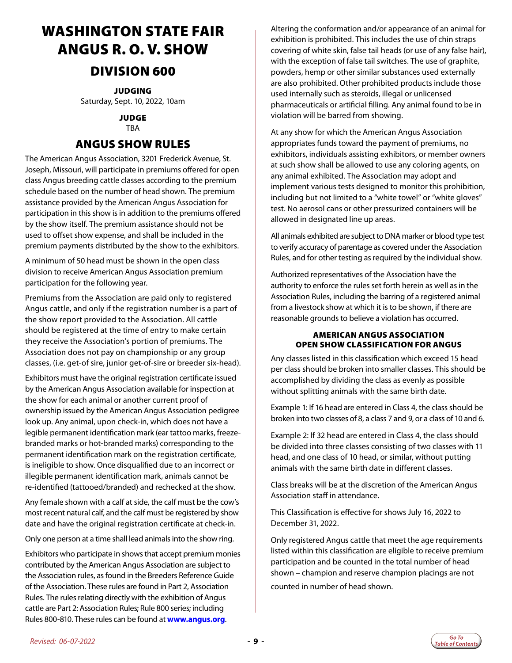# <span id="page-8-0"></span>WASHINGTON STATE FAIR ANGUS R. O. V. SHOW

### DIVISION 600

JUDGING

Saturday, Sept. 10, 2022, 10am

#### JUDGE **TRA**

### ANGUS SHOW RULES

The American Angus Association, 3201 Frederick Avenue, St. Joseph, Missouri, will participate in premiums offered for open class Angus breeding cattle classes according to the premium schedule based on the number of head shown. The premium assistance provided by the American Angus Association for participation in this show is in addition to the premiums offered by the show itself. The premium assistance should not be used to offset show expense, and shall be included in the premium payments distributed by the show to the exhibitors.

A minimum of 50 head must be shown in the open class division to receive American Angus Association premium participation for the following year.

Premiums from the Association are paid only to registered Angus cattle, and only if the registration number is a part of the show report provided to the Association. All cattle should be registered at the time of entry to make certain they receive the Association's portion of premiums. The Association does not pay on championship or any group classes, (i.e. get-of sire, junior get-of-sire or breeder six-head).

Exhibitors must have the original registration certificate issued by the American Angus Association available for inspection at the show for each animal or another current proof of ownership issued by the American Angus Association pedigree look up. Any animal, upon check-in, which does not have a legible permanent identification mark (ear tattoo marks, freezebranded marks or hot-branded marks) corresponding to the permanent identification mark on the registration certificate, is ineligible to show. Once disqualified due to an incorrect or illegible permanent identification mark, animals cannot be re-identified (tattooed/branded) and rechecked at the show.

Any female shown with a calf at side, the calf must be the cow's most recent natural calf, and the calf must be registered by show date and have the original registration certificate at check-in.

Only one person at a time shall lead animals into the show ring.

Exhibitors who participate in shows that accept premium monies contributed by the American Angus Association are subject to the Association rules, as found in the Breeders Reference Guide of the Association. These rules are found in Part 2, Association Rules. The rules relating directly with the exhibition of Angus cattle are Part 2: Association Rules; Rule 800 series; including Rules 800-810. These rules can be found at **[www.angus.org](http://www.angus.org/)**.

Altering the conformation and/or appearance of an animal for exhibition is prohibited. This includes the use of chin straps covering of white skin, false tail heads (or use of any false hair), with the exception of false tail switches. The use of graphite, powders, hemp or other similar substances used externally are also prohibited. Other prohibited products include those used internally such as steroids, illegal or unlicensed pharmaceuticals or artificial filling. Any animal found to be in violation will be barred from showing.

At any show for which the American Angus Association appropriates funds toward the payment of premiums, no exhibitors, individuals assisting exhibitors, or member owners at such show shall be allowed to use any coloring agents, on any animal exhibited. The Association may adopt and implement various tests designed to monitor this prohibition, including but not limited to a "white towel" or "white gloves" test. No aerosol cans or other pressurized containers will be allowed in designated line up areas.

All animals exhibited are subject to DNA marker or blood type test to verify accuracy of parentage as covered under the Association Rules, and for other testing as required by the individual show.

Authorized representatives of the Association have the authority to enforce the rules set forth herein as well as in the Association Rules, including the barring of a registered animal from a livestock show at which it is to be shown, if there are reasonable grounds to believe a violation has occurred.

#### AMERICAN ANGUS ASSOCIATION OPEN SHOW CLASSIFICATION FOR ANGUS

Any classes listed in this classification which exceed 15 head per class should be broken into smaller classes. This should be accomplished by dividing the class as evenly as possible without splitting animals with the same birth date.

Example 1: If 16 head are entered in Class 4, the class should be broken into two classes of 8, a class 7 and 9, or a class of 10 and 6.

Example 2: If 32 head are entered in Class 4, the class should be divided into three classes consisting of two classes with 11 head, and one class of 10 head, or similar, without putting animals with the same birth date in different classes.

Class breaks will be at the discretion of the American Angus Association staff in attendance.

This Classification is effective for shows July 16, 2022 to December 31, 2022.

Only registered Angus cattle that meet the age requirements listed within this classification are eligible to receive premium participation and be counted in the total number of head shown – champion and reserve champion placings are not counted in number of head shown.

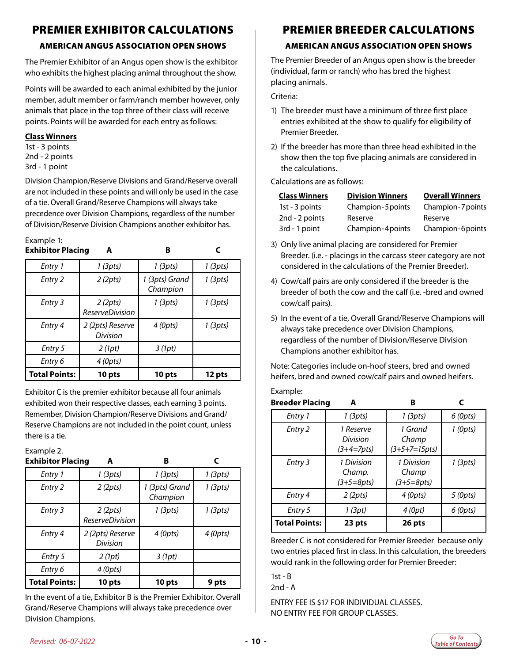### PREMIER EXHIBITOR CALCULATIONS

### AMERICAN ANGUS ASSOCIATION OPEN SHOWS

The Premier Exhibitor of an Angus open show is the exhibitor who exhibits the highest placing animal throughout the show.

Points will be awarded to each animal exhibited by the junior member, adult member or farm/ranch member however, only animals that place in the top three of their class will receive points. Points will be awarded for each entry as follows:

#### **Class Winners**

1st - 3 points 2nd - 2 points 3rd - 1 point

Division Champion/Reserve Divisions and Grand/Reserve overall are not included in these points and will only be used in the case of a tie. Overall Grand/Reserve Champions will always take precedence over Division Champions, regardless of the number of Division/Reserve Division Champions another exhibitor has.

#### Example 1: **Exhibitor Placing A B R**

| EXIIIDILUI FIACIIIY  |                                   | D                          |          |
|----------------------|-----------------------------------|----------------------------|----------|
| Entry 1              | $1$ (3pts)                        | 1 (3pts)                   | 1 (3pts) |
| Entry 2              | 2 (2pts)                          | 1 (3pts) Grand<br>Champion | 1 (3pts) |
| Entry 3              | 2(2pts)<br><b>ReserveDivision</b> | $1$ (3pts)                 | 1 (3pts) |
| Entry 4              | 2 (2pts) Reserve<br>Division      | 4 (0pts)                   | 1 (3pts) |
| Entry 5              | 2(1pt)                            | 3(1pt)                     |          |
| Entry 6              | 4 (0pts)                          |                            |          |
| <b>Total Points:</b> | 10 pts                            | 10 pts                     | 12 pts   |

Exhibitor C is the premier exhibitor because all four animals exhibited won their respective classes, each earning 3 points. Remember, Division Champion/Reserve Divisions and Grand/ Reserve Champions are not included in the point count, unless there is a tie.

### Example 2.

| <b>Exhibitor Placing</b> | A                                        | в                          | C          |
|--------------------------|------------------------------------------|----------------------------|------------|
| Entry 1                  | 1 (3pts)                                 | 1 (3pts)                   | 1 (3pts)   |
| Entry 2                  | 2(2pts)                                  | 1 (3pts) Grand<br>Champion | 1 (3pts)   |
| Entry 3                  | 2(2pts)<br><i><b>ReserveDivision</b></i> | 1 (3pts)                   | $1$ (3pts) |
| Entry 4                  | 2 (2pts) Reserve<br>Division             | 4 (0pts)                   | $4$ (Opts) |
| Entry 5                  | 2(1pt)                                   | 3(1pt)                     |            |
| Entry 6                  | 4 (0pts)                                 |                            |            |
| <b>Total Points:</b>     | 10 pts                                   | 10 pts                     | 9 pts      |

In the event of a tie, Exhibitor B is the Premier Exhibitor. Overall Grand/Reserve Champions will always take precedence over Division Champions.

## PREMIER BREEDER CALCULATIONS

### AMERICAN ANGUS ASSOCIATION OPEN SHOWS

The Premier Breeder of an Angus open show is the breeder (individual, farm or ranch) who has bred the highest placing animals.

Criteria:

- 1) The breeder must have a minimum of three first place entries exhibited at the show to qualify for eligibility of Premier Breeder.
- 2) If the breeder has more than three head exhibited in the show then the top five placing animals are considered in the calculations.

Calculations are as follows:

| <b>Class Winners</b> | <b>Division Winners</b> | <b>Overall Winners</b> |
|----------------------|-------------------------|------------------------|
| 1st - 3 points       | Champion-5 points       | Champion-7 points      |
| 2nd - 2 points       | Reserve                 | Reserve                |
| 3rd - 1 point        | Champion-4 points       | Champion-6points       |

- 3) Only live animal placing are considered for Premier Breeder. (i.e. - placings in the carcass steer category are not considered in the calculations of the Premier Breeder).
- 4) Cow/calf pairs are only considered if the breeder is the breeder of both the cow and the calf (i.e. -bred and owned cow/calf pairs).
- 5) In the event of a tie, Overall Grand/Reserve Champions will always take precedence over Division Champions, regardless of the number of Division/Reserve Division Champions another exhibitor has.

Note: Categories include on-hoof steers, bred and owned heifers, bred and owned cow/calf pairs and owned heifers.

#### Example:

| <b>Breeder Placing</b> | A                                     | B                                   |            |
|------------------------|---------------------------------------|-------------------------------------|------------|
| Entry 1                | 1 (3pts)                              | $1$ (3pts)                          | 6(0pts)    |
| Entry 2                | 1 Reserve<br>Division<br>$(3+4=7pts)$ | 1 Grand<br>Champ<br>$(3+5+7=15pts)$ | $1$ (Opts) |
| Entry 3                | 1 Division<br>Champ.<br>$(3+5=8pts)$  | 1 Division<br>Champ<br>$(3+5=8pts)$ | $1$ (3pts) |
| Entry 4                | 2(2pts)                               | 4 (0pts)                            | 5 (0pts)   |
| Entry 5                | 1 (3pt)                               | 4 (0pt)                             | $6$ (Opts) |
| <b>Total Points:</b>   | 23 pts                                | 26 pts                              |            |

Breeder C is not considered for Premier Breeder because only two entries placed first in class. In this calculation, the breeders would rank in the following order for Premier Breeder:

1st - B

2nd - A

ENTRY FEE IS \$17 FOR INDIVIDUAL CLASSES. NO ENTRY FEE FOR GROUP CLASSES.

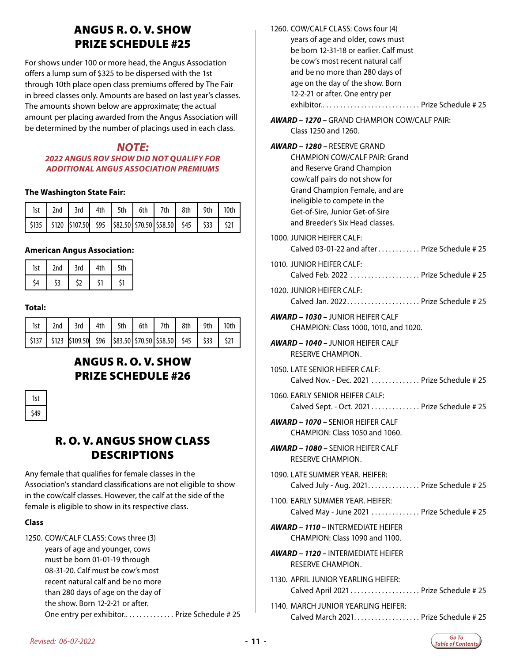### ANGUS R. O. V. SHOW PRIZE SCHEDULE #25

For shows under 100 or more head, the Angus Association offers a lump sum of \$325 to be dispersed with the 1st through 10th place open class premiums offered by The Fair in breed classes only. Amounts are based on last year's classes. The amounts shown below are approximate; the actual amount per placing awarded from the Angus Association will be determined by the number of placings used in each class.

#### *NOTE:*

#### *2022 ANGUS ROV SHOW DID NOT QUALIFY FOR ADDITIONAL ANGUS ASSOCIATION PREMIUMS*

#### **The Washington State Fair:**

|  | 1st   2nd   3rd   4th   5th   6th   7th   8th   9th   10th                         |  |  |  |  |
|--|------------------------------------------------------------------------------------|--|--|--|--|
|  | \$135   \$120   \$107.50   \$95   \$82.50   \$70.50   \$88.50   \$45   \$33   \$21 |  |  |  |  |

#### **American Angus Association:**

| 1st | 2nd | 3rd | 4th | 5th |
|-----|-----|-----|-----|-----|
| ٠.٨ |     | ະາ  |     | :1  |

#### **Total:**

|  | 1st   2nd   3rd   4th   5th   6th   7th   8th   9th   10th                         |  |  |  |  |
|--|------------------------------------------------------------------------------------|--|--|--|--|
|  | \$137   \$123   \$109.50   \$96   \$83.50   \$70.50   \$58.50   \$45   \$33   \$21 |  |  |  |  |

### ANGUS R. O. V. SHOW PRIZE SCHEDULE #26

| ıst |  |
|-----|--|
| 549 |  |

### R. O. V. ANGUS SHOW CLASS DESCRIPTIONS

Any female that qualifies for female classes in the Association's standard classifications are not eligible to show in the cow/calf classes. However, the calf at the side of the female is eligible to show in its respective class.

#### **Class**

| 1250. COW/CALF CLASS: Cows three (3)       |
|--------------------------------------------|
| years of age and younger, cows             |
| must be born 01-01-19 through              |
| 08-31-20. Calf must be cow's most          |
| recent natural calf and be no more         |
| than 280 days of age on the day of         |
| the show. Born 12-2-21 or after.           |
| One entry per exhibitor Prize Schedule #25 |
|                                            |

| 1260. COW/CALF CLASS: Cows four (4)                                          |
|------------------------------------------------------------------------------|
| years of age and older, cows must                                            |
| be born 12-31-18 or earlier. Calf must                                       |
| be cow's most recent natural calf                                            |
| and be no more than 280 days of                                              |
| age on the day of the show. Born                                             |
| 12-2-21 or after. One entry per                                              |
|                                                                              |
| <b>AWARD – 1270 –</b> GRAND CHAMPION COW/CAI E PAIR:<br>Class 1250 and 1260. |
|                                                                              |

### *AWARD – 1280 –* RESERVE GRAND

CHAMPION COW/CALF PAIR: Grand and Reserve Grand Champion cow/calf pairs do not show for Grand Champion Female, and are ineligible to compete in the Get-of-Sire, Junior Get-of-Sire and Breeder's Six Head classes.

- 1000. JUNIOR HEIFER CALF: Calved 03-01-22 and after  $\dots\dots\dots\dots$  Prize Schedule # 25
- 1010. JUNIOR HEIFER CALF: Calved Feb. 2022  $\ldots$ ................. Prize Schedule # 25
- 1020. JUNIOR HEIFER CALF: Calved Jan. 2022. . . Prize Schedule # 25
- *AWARD 1030* JUNIOR HEIFER CALF CHAMPION: Class 1000, 1010, and 1020.
- *AWARD 1040* JUNIOR HEIFER CALF RESERVE CHAMPION.
- 1050. LATE SENIOR HEIFER CALF: Calved Nov. - Dec. 2021. . . . . . . . . . . . . . Prize Schedule  $#25$
- 1060. EARLY SENIOR HEIFER CALF: Calved Sept. - Oct. 2021 . . . . . . . . . . . . . Prize Schedule # 25
- *AWARD 1070* SENIOR HEIFER CALF CHAMPION: Class 1050 and 1060.
- *AWARD 1080* SENIOR HEIFER CALF RESERVE CHAMPION.
- 1090. LATE SUMMER YEAR. HEIFER: Calved July - Aug. 2021. . . . . . . . . . . . . . Prize Schedule # 25
- 1100. EARLY SUMMER YEAR. HEIFER: Calved May - June 2021 . . . . . . . . . . . . . Prize Schedule # 25
- *AWARD 1110* INTERMEDIATE HEIFER CHAMPION: Class 1090 and 1100.
- *AWARD 1120* INTERMEDIATE HEIFER RESERVE CHAMPION.
- 1130. APRIL JUNIOR YEARLING HEIFER: Calved April 2021  $\ldots$   $\ldots$   $\ldots$   $\ldots$  Prize Schedule # 25
- 1140. MARCH JUNIOR YEARLING HEIFER: Calved March 2021. . . . . . . . . . . . . . . . . . . Prize Schedule # 25

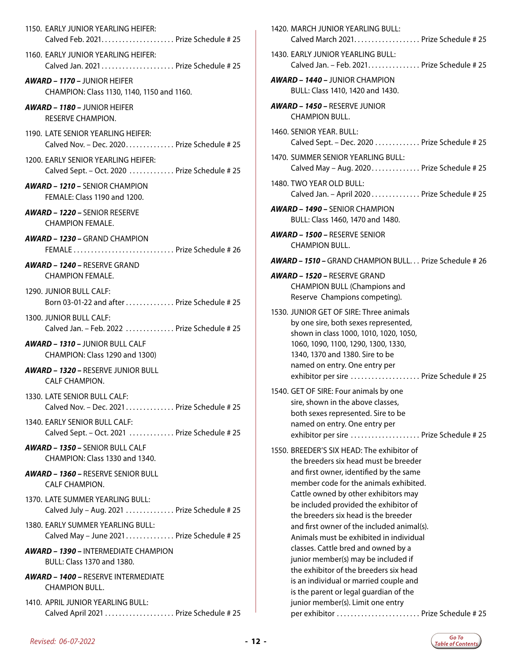1150. EARLY JUNIOR YEARLING HEIFER: Calved Feb. 2021. . . . . . . . . . . . . . . . . . . . . Prize Schedule # 25 1160. EARLY JUNIOR YEARLING HEIFER: Calved Jan. 2021.  $\ldots$ .  $\ldots$ . . . . . . . . . . . . Prize Schedule # 25 *AWARD – 1170 –* JUNIOR HEIFER CHAMPION: Class 1130, 1140, 1150 and 1160. *AWARD – 1180 –* JUNIOR HEIFER RESERVE CHAMPION. 1190. LATE SENIOR YEARLING HEIFER: Calved Nov. - Dec. 2020. . . . . . . . . . . . . Prize Schedule # 25 1200. EARLY SENIOR YEARLING HEIFER: Calved Sept. - Oct. 2020 . . . . . . . . . . . . Prize Schedule # 25 *AWARD – 1210 –* SENIOR CHAMPION FEMALE: Class 1190 and 1200. *AWARD – 1220 –* SENIOR RESERVE CHAMPION FEMALE. *AWARD – 1230 –* GRAND CHAMPION FEMALE. . . Prize Schedule # 26 *AWARD – 1240 –* RESERVE GRAND CHAMPION FEMALE. 1290. JUNIOR BULL CALF: Born 03-01-22 and after  $\dots\dots\dots\dots$  Prize Schedule # 25 1300. JUNIOR BULL CALF: Calved Jan. – Feb. 2022 $\ldots, \ldots, \ldots$ . Prize Schedule # 25 *AWARD – 1310 –* JUNIOR BULL CALF CHAMPION: Class 1290 and 1300) *AWARD – 1320 –* RESERVE JUNIOR BULL CALF CHAMPION. 1330. LATE SENIOR BULL CALF: Calved Nov. - Dec. 2021.............. Prize Schedule  $#25$ 1340. EARLY SENIOR BULL CALF: Calved Sept. - Oct. 2021 . . . . . . . . . . . . Prize Schedule # 25 *AWARD – 1350 –* SENIOR BULL CALF CHAMPION: Class 1330 and 1340. *AWARD – 1360 –* RESERVE SENIOR BULL CALF CHAMPION. 1370. LATE SUMMER YEARLING BULL: Calved July - Aug. 2021  $\dots$ .  $\dots$ . Prize Schedule # 25 1380. EARLY SUMMER YEARLING BULL: Calved May - June 2021.............. Prize Schedule  $#25$ *AWARD – 1390 –* INTERMEDIATE CHAMPION BULL: Class 1370 and 1380. *AWARD – 1400 –* RESERVE INTERMEDIATE CHAMPION BULL. 1410. APRIL JUNIOR YEARLING BULL: Calved April 2021 . . . . . . . . . . . . . . . . . . Prize Schedule # 25

| 1420. MARCH JUNIOR YEARLING BULL:<br>Calved March 2021. Prize Schedule # 25                                                                                                                                                                                                                                                                                                                                                                                                                                                                                                                                                                 |
|---------------------------------------------------------------------------------------------------------------------------------------------------------------------------------------------------------------------------------------------------------------------------------------------------------------------------------------------------------------------------------------------------------------------------------------------------------------------------------------------------------------------------------------------------------------------------------------------------------------------------------------------|
| 1430. EARLY JUNIOR YEARLING BULL:<br>Calved Jan. - Feb. 2021. Prize Schedule # 25                                                                                                                                                                                                                                                                                                                                                                                                                                                                                                                                                           |
| <b>AWARD – 1440 –</b> JUNIOR CHAMPION<br>BULL: Class 1410, 1420 and 1430.                                                                                                                                                                                                                                                                                                                                                                                                                                                                                                                                                                   |
| <b>AWARD - 1450 - RESERVE JUNIOR</b><br><b>CHAMPION BULL.</b>                                                                                                                                                                                                                                                                                                                                                                                                                                                                                                                                                                               |
| 1460. SENIOR YEAR, BULL:<br>Calved Sept. - Dec. 2020 Prize Schedule # 25                                                                                                                                                                                                                                                                                                                                                                                                                                                                                                                                                                    |
| 1470. SUMMER SENIOR YEARLING BULL:<br>Calved May - Aug. 2020 Prize Schedule # 25                                                                                                                                                                                                                                                                                                                                                                                                                                                                                                                                                            |
| 1480. TWO YEAR OLD BULL:<br>Calved Jan. - April 2020 Prize Schedule # 25                                                                                                                                                                                                                                                                                                                                                                                                                                                                                                                                                                    |
| <b>AWARD - 1490 - SENIOR CHAMPION</b><br>BULL: Class 1460, 1470 and 1480.                                                                                                                                                                                                                                                                                                                                                                                                                                                                                                                                                                   |
| <b>AWARD - 1500 - RESERVE SENIOR</b><br><b>CHAMPION BULL.</b>                                                                                                                                                                                                                                                                                                                                                                                                                                                                                                                                                                               |
| <b>AWARD - 1510 - GRAND CHAMPION BULL Prize Schedule #26</b>                                                                                                                                                                                                                                                                                                                                                                                                                                                                                                                                                                                |
| <b>AWARD - 1520 - RESERVE GRAND</b><br><b>CHAMPION BULL (Champions and</b><br>Reserve Champions competing).                                                                                                                                                                                                                                                                                                                                                                                                                                                                                                                                 |
| 1530. JUNIOR GET OF SIRE: Three animals<br>by one sire, both sexes represented,<br>shown in class 1000, 1010, 1020, 1050,<br>1060, 1090, 1100, 1290, 1300, 1330,<br>1340, 1370 and 1380. Sire to be<br>named on entry. One entry per<br>exhibitor per sire  Prize Schedule # 25                                                                                                                                                                                                                                                                                                                                                             |
| 1540. GET OF SIRE: Four animals by one<br>sire, shown in the above classes,<br>both sexes represented. Sire to be<br>named on entry. One entry per<br>exhibitor per sire  Prize Schedule # 25                                                                                                                                                                                                                                                                                                                                                                                                                                               |
| 1550. BREEDER'S SIX HEAD: The exhibitor of<br>the breeders six head must be breeder<br>and first owner, identified by the same<br>member code for the animals exhibited.<br>Cattle owned by other exhibitors may<br>be included provided the exhibitor of<br>the breeders six head is the breeder<br>and first owner of the included animal(s).<br>Animals must be exhibited in individual<br>classes. Cattle bred and owned by a<br>junior member(s) may be included if<br>the exhibitor of the breeders six head<br>is an individual or married couple and<br>is the parent or legal guardian of the<br>junior member(s). Limit one entry |
| per exhibitor  Prize Schedule # 25                                                                                                                                                                                                                                                                                                                                                                                                                                                                                                                                                                                                          |

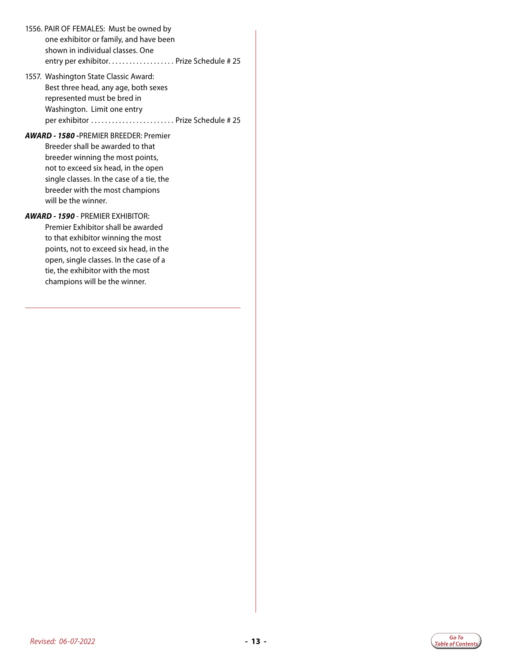- 1556. PAIR OF FEMALES: Must be owned by one exhibitor or family, and have been shown in individual classes. One entry per exhibitor.................... Prize Schedule # 25
- 1557. Washington State Classic Award: Best three head, any age, both sexes represented must be bred in Washington. Limit one entry per exhibitor. . . Prize Schedule # 25

#### *AWARD - 1580 -*PREMIER BREEDER: Premier

Breeder shall be awarded to that breeder winning the most points, not to exceed six head, in the open single classes. In the case of a tie, the breeder with the most champions will be the winner.

#### *AWARD - 1590* - PREMIER EXHIBITOR:

Premier Exhibitor shall be awarded to that exhibitor winning the most points, not to exceed six head, in the open, single classes. In the case of a tie, the exhibitor with the most champions will be the winner.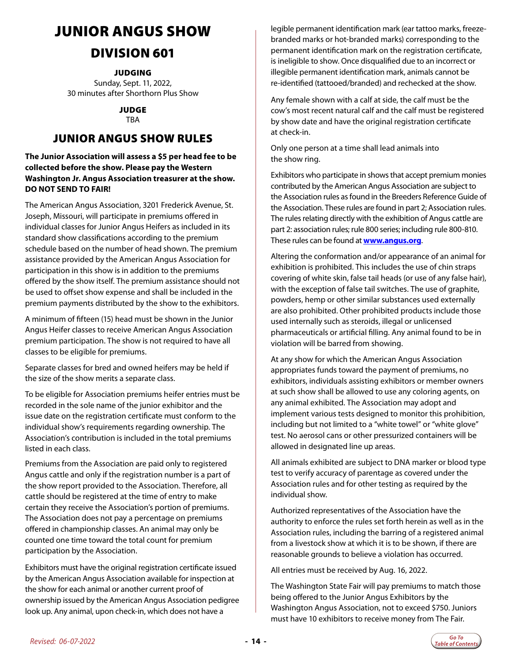# <span id="page-13-0"></span>JUNIOR ANGUS SHOW

### DIVISION 601

**JUDGING** 

Sunday, Sept. 11, 2022, 30 minutes after Shorthorn Plus Show

> JUDGE TBA

### JUNIOR ANGUS SHOW RULES

#### **The Junior Association will assess a \$5 per head fee to be collected before the show. Please pay the Western Washington Jr. Angus Association treasurer at the show. DO NOT SEND TO FAIR!**

The American Angus Association, 3201 Frederick Avenue, St. Joseph, Missouri, will participate in premiums offered in individual classes for Junior Angus Heifers as included in its standard show classifications according to the premium schedule based on the number of head shown. The premium assistance provided by the American Angus Association for participation in this show is in addition to the premiums offered by the show itself. The premium assistance should not be used to offset show expense and shall be included in the premium payments distributed by the show to the exhibitors.

A minimum of fifteen (15) head must be shown in the Junior Angus Heifer classes to receive American Angus Association premium participation. The show is not required to have all classes to be eligible for premiums.

Separate classes for bred and owned heifers may be held if the size of the show merits a separate class.

To be eligible for Association premiums heifer entries must be recorded in the sole name of the junior exhibitor and the issue date on the registration certificate must conform to the individual show's requirements regarding ownership. The Association's contribution is included in the total premiums listed in each class.

Premiums from the Association are paid only to registered Angus cattle and only if the registration number is a part of the show report provided to the Association. Therefore, all cattle should be registered at the time of entry to make certain they receive the Association's portion of premiums. The Association does not pay a percentage on premiums offered in championship classes. An animal may only be counted one time toward the total count for premium participation by the Association.

Exhibitors must have the original registration certificate issued by the American Angus Association available for inspection at the show for each animal or another current proof of ownership issued by the American Angus Association pedigree look up. Any animal, upon check-in, which does not have a

legible permanent identification mark (ear tattoo marks, freezebranded marks or hot-branded marks) corresponding to the permanent identification mark on the registration certificate, is ineligible to show. Once disqualified due to an incorrect or illegible permanent identification mark, animals cannot be re-identified (tattooed/branded) and rechecked at the show.

Any female shown with a calf at side, the calf must be the cow's most recent natural calf and the calf must be registered by show date and have the original registration certificate at check-in.

Only one person at a time shall lead animals into the show ring.

Exhibitors who participate in shows that accept premium monies contributed by the American Angus Association are subject to the Association rules as found in the Breeders Reference Guide of the Association. These rules are found in part 2; Association rules. The rules relating directly with the exhibition of Angus cattle are part 2: association rules; rule 800 series; including rule 800-810. These rules can be found at **[www.angus.org](http://www.angus.org)**.

Altering the conformation and/or appearance of an animal for exhibition is prohibited. This includes the use of chin straps covering of white skin, false tail heads (or use of any false hair), with the exception of false tail switches. The use of graphite, powders, hemp or other similar substances used externally are also prohibited. Other prohibited products include those used internally such as steroids, illegal or unlicensed pharmaceuticals or artificial filling. Any animal found to be in violation will be barred from showing.

At any show for which the American Angus Association appropriates funds toward the payment of premiums, no exhibitors, individuals assisting exhibitors or member owners at such show shall be allowed to use any coloring agents, on any animal exhibited. The Association may adopt and implement various tests designed to monitor this prohibition, including but not limited to a "white towel" or "white glove" test. No aerosol cans or other pressurized containers will be allowed in designated line up areas.

All animals exhibited are subject to DNA marker or blood type test to verify accuracy of parentage as covered under the Association rules and for other testing as required by the individual show.

Authorized representatives of the Association have the authority to enforce the rules set forth herein as well as in the Association rules, including the barring of a registered animal from a livestock show at which it is to be shown, if there are reasonable grounds to believe a violation has occurred.

All entries must be received by Aug. 16, 2022.

The Washington State Fair will pay premiums to match those being offered to the Junior Angus Exhibitors by the Washington Angus Association, not to exceed \$750. Juniors must have 10 exhibitors to receive money from The Fair.

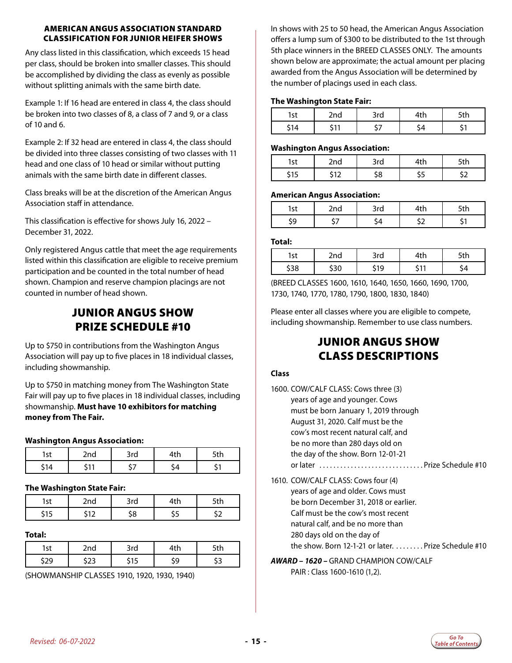#### AMERICAN ANGUS ASSOCIATION STANDARD CLASSIFICATION FOR JUNIOR HEIFER SHOWS

Any class listed in this classification, which exceeds 15 head per class, should be broken into smaller classes. This should be accomplished by dividing the class as evenly as possible without splitting animals with the same birth date.

Example 1: If 16 head are entered in class 4, the class should be broken into two classes of 8, a class of 7 and 9, or a class of 10 and 6.

Example 2: If 32 head are entered in class 4, the class should be divided into three classes consisting of two classes with 11 head and one class of 10 head or similar without putting animals with the same birth date in different classes.

Class breaks will be at the discretion of the American Angus Association staff in attendance.

This classification is effective for shows July 16, 2022 – December 31, 2022.

Only registered Angus cattle that meet the age requirements listed within this classification are eligible to receive premium participation and be counted in the total number of head shown. Champion and reserve champion placings are not counted in number of head shown.

### JUNIOR ANGUS SHOW PRIZE SCHEDULE #10

Up to \$750 in contributions from the Washington Angus Association will pay up to five places in 18 individual classes, including showmanship.

Up to \$750 in matching money from The Washington State Fair will pay up to five places in 18 individual classes, including showmanship. **Must have 10 exhibitors for matching money from The Fair.**

#### **Washington Angus Association:**

| --- | <br>ີ |  |
|-----|-------|--|
|     | -     |  |

#### **The Washington State Fair:**

| مہ<br>. ک د | - 14 | 3rd | * LI + |
|-------------|------|-----|--------|
| . .         |      | ۰o  |        |

#### **Total:**

| r+ | 2nd        | )いへ<br>ч | . . | -+L |
|----|------------|----------|-----|-----|
|    | <u>_ _</u> |          | O   |     |

(SHOWMANSHIP CLASSES 1910, 1920, 1930, 1940)

In shows with 25 to 50 head, the American Angus Association offers a lump sum of \$300 to be distributed to the 1st through 5th place winners in the BREED CLASSES ONLY. The amounts shown below are approximate; the actual amount per placing awarded from the Angus Association will be determined by the number of placings used in each class.

#### **The Washington State Fair:**

| . .<br>ا د ا | ົີ<br>-114 | ີ້<br>JIU | . | . |
|--------------|------------|-----------|---|---|
|              |            |           |   |   |

#### **Washington Angus Association:**

|   | $-$                      | $\mathcal{L}_{\mathcal{L}}$ | . . | . . |
|---|--------------------------|-----------------------------|-----|-----|
| . | <b>1-</b><br>$\cdot$ $-$ |                             |     |     |

#### **American Angus Association:**

| --<br>. u | איר<br>יי |  |
|-----------|-----------|--|
|           |           |  |

#### **Total:**

| c+  | `ๆd | 3rd | .      | ีน เ |
|-----|-----|-----|--------|------|
| סכי |     | 19  | $\sim$ |      |

(BREED CLASSES 1600, 1610, 1640, 1650, 1660, 1690, 1700, 1730, 1740, 1770, 1780, 1790, 1800, 1830, 1840)

Please enter all classes where you are eligible to compete, including showmanship. Remember to use class numbers.

### JUNIOR ANGUS SHOW CLASS DESCRIPTIONS

#### **Class**

| 1600. COW/CALF CLASS: Cows three (3)  |  |
|---------------------------------------|--|
| years of age and younger. Cows        |  |
| must be born January 1, 2019 through  |  |
| August 31, 2020. Calf must be the     |  |
| cow's most recent natural calf, and   |  |
| be no more than 280 days old on       |  |
| the day of the show. Born 12-01-21    |  |
| or later                              |  |
| 1610. COW/CALF CLASS: Cows four (4)   |  |
| years of age and older. Cows must     |  |
| be born December 31, 2018 or earlier. |  |

Calf must be the cow's most recent

natural calf, and be no more than 280 days old on the day of

the show. Born 12-1-21 or later.  $\dots \dots$ . Prize Schedule #10

#### *AWARD – 1620 –* GRAND CHAMPION COW/CALF PAIR : Class 1600-1610 (1,2).

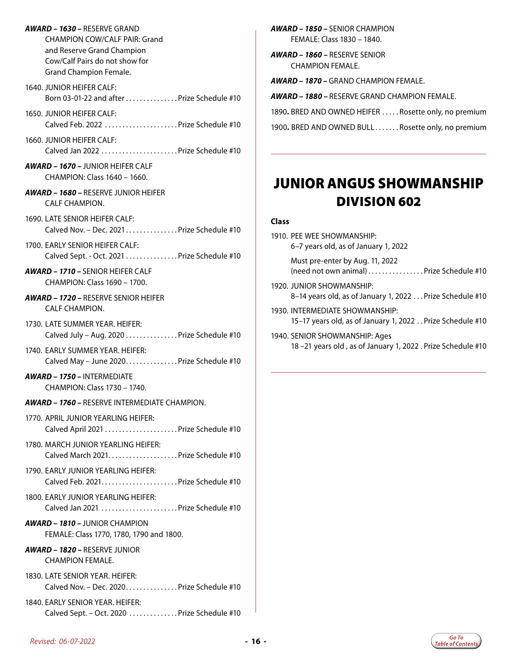- <span id="page-15-0"></span>*AWARD – 1630 –* RESERVE GRAND CHAMPION COW/CALF PAIR: Grand and Reserve Grand Champion Cow/Calf Pairs do not show for Grand Champion Female.
- 1640. JUNIOR HEIFER CALF: Born 03-01-22 and after  $\ldots$  . . . . . . . . . . . . Prize Schedule #10

1650. JUNIOR HEIFER CALF: Calved Feb. 2022  $\ldots$ . . . . . . . . . . . . . . . . . Prize Schedule #10

1660. JUNIOR HEIFER CALF: Calved Jan 2022  $\ldots$ . . . . . . . . . . . . . . . . . Prize Schedule #10

- *AWARD 1670* JUNIOR HEIFER CALF CHAMPION: Class 1640 – 1660.
- *AWARD 1680* RESERVE JUNIOR HEIFER CALF CHAMPION.

1690. LATE SENIOR HEIFER CALF: Calved Nov. - Dec. 2021................ Prize Schedule #10

1700. EARLY SENIOR HEIFER CALF: Calved Sept. - Oct. 2021 . . . . . . . . . . . . . . Prize Schedule #10

*AWARD – 1710 –* SENIOR HEIFER CALF CHAMPION: Class 1690 – 1700.

*AWARD – 1720 –* RESERVE SENIOR HEIFER CALF CHAMPION.

1730. LATE SUMMER YEAR. HEIFER: Calved July - Aug. 2020  $\ldots$ ............ Prize Schedule #10

1740. EARLY SUMMER YEAR. HEIFER: Calved May - June 2020. . . . . . . . . . . . . . . Prize Schedule #10

*AWARD – 1750 –* INTERMEDIATE CHAMPION: Class 1730 – 1740.

- *AWARD 1760* RESERVE INTERMEDIATE CHAMPION.
- 1770. APRIL JUNIOR YEARLING HEIFER: Calved April 2021. . Prize Schedule #10
- 1780. MARCH JUNIOR YEARLING HEIFER: Calved March 2021. . . . . . . . . . . . . . . . . . . . Prize Schedule #10
- 1790. EARLY JUNIOR YEARLING HEIFER: Calved Feb. 2021. . . . . . . . . . . . . . . . . . . . . . Prize Schedule #10
- 1800. EARLY JUNIOR YEARLING HEIFER: Calved Jan 2021. . Prize Schedule #10
- *AWARD 1810* JUNIOR CHAMPION FEMALE: Class 1770, 1780, 1790 and 1800.

#### *AWARD – 1820 –* RESERVE JUNIOR CHAMPION FEMALE.

1830. LATE SENIOR YEAR. HEIFER: Calved Nov. – Dec. 2020. . Prize Schedule #10

1840. EARLY SENIOR YEAR. HEIFER: Calved Sept. - Oct. 2020 . . . . . . . . . . . . . Prize Schedule #10 *AWARD – 1850 –* SENIOR CHAMPION FEMALE: Class 1830 – 1840.

*AWARD – 1860 –* RESERVE SENIOR CHAMPION FEMALE.

*AWARD – 1870 –* GRAND CHAMPION FEMALE.

*AWARD – 1880 –* RESERVE GRAND CHAMPION FEMALE.

1890. BRED AND OWNED HEIFER . . . . . Rosette only, no premium

1900. BRED AND OWNED BULL....... Rosette only, no premium

# JUNIOR ANGUS SHOWMANSHIP DIVISION 602

#### **Class**

1910. PEE WEE SHOWMANSHIP: 6–7 years old, as of January 1, 2022

> Must pre-enter by Aug. 11, 2022  $(need not own animal)$ ...............Prize Schedule #10

- 1920. JUNIOR SHOWMANSHIP: 8–14 years old, as of January 1, 2022 . . . Prize Schedule #10
- 1930. INTERMEDIATE SHOWMANSHIP: 15–17 years old, as of January 1, 2022. . Prize Schedule #10
- 1940. SENIOR SHOWMANSHIP: Ages 18 –21 years old , as of January 1, 2022. Prize Schedule #10

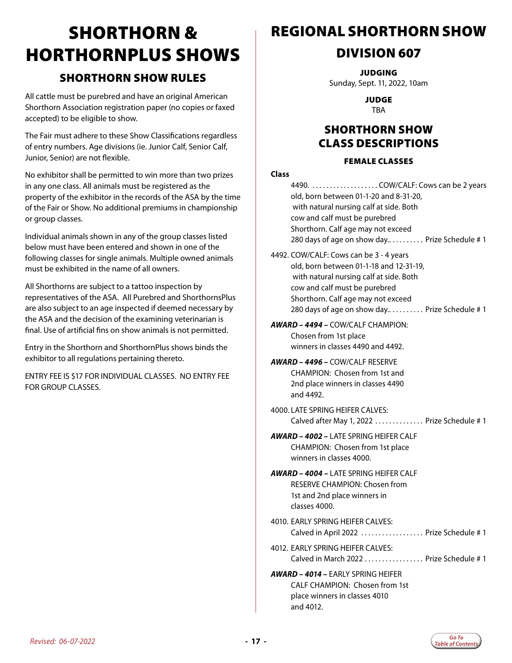# <span id="page-16-0"></span>SHORTHORN & HORTHORNPLUS SHOWS

### SHORTHORN SHOW RULES

All cattle must be purebred and have an original American Shorthorn Association registration paper (no copies or faxed accepted) to be eligible to show.

The Fair must adhere to these Show Classifications regardless of entry numbers. Age divisions (ie. Junior Calf, Senior Calf, Junior, Senior) are not flexible.

No exhibitor shall be permitted to win more than two prizes in any one class. All animals must be registered as the property of the exhibitor in the records of the ASA by the time of the Fair or Show. No additional premiums in championship or group classes.

Individual animals shown in any of the group classes listed below must have been entered and shown in one of the following classes for single animals. Multiple owned animals must be exhibited in the name of all owners.

All Shorthorns are subject to a tattoo inspection by representatives of the ASA. All Purebred and ShorthornsPlus are also subject to an age inspected if deemed necessary by the ASA and the decision of the examining veterinarian is final. Use of artificial fins on show animals is not permitted.

Entry in the Shorthorn and ShorthornPlus shows binds the exhibitor to all regulations pertaining thereto.

ENTRY FEE IS \$17 FOR INDIVIDUAL CLASSES. NO ENTRY FEE FOR GROUP CLASSES.

### REGIONAL SHORTHORN SHOW

### DIVISION 607

**JUDGING** 

Sunday, Sept. 11, 2022, 10am

JUDGE TBA

### SHORTHORN SHOW CLASS DESCRIPTIONS

#### FEMALE CLASSES

#### **Class**

| Class |                                                                                                                                                                                                                                                       |
|-------|-------------------------------------------------------------------------------------------------------------------------------------------------------------------------------------------------------------------------------------------------------|
|       | 4490.  COW/CALF: Cows can be 2 years<br>old, born between 01-1-20 and 8-31-20,<br>with natural nursing calf at side. Both<br>cow and calf must be purebred<br>Shorthorn. Calf age may not exceed<br>280 days of age on show day Prize Schedule #1     |
|       | 4492. COW/CALF: Cows can be 3 - 4 years<br>old, born between 01-1-18 and 12-31-19,<br>with natural nursing calf at side. Both<br>cow and calf must be purebred<br>Shorthorn. Calf age may not exceed<br>280 days of age on show day Prize Schedule #1 |
|       | <b>AWARD – 4494 –</b> COW/CALF CHAMPION:<br>Chosen from 1st place<br>winners in classes 4490 and 4492.                                                                                                                                                |
|       | AWARD – 4496 – COW/CALF RESERVE<br><b>CHAMPION: Chosen from 1st and</b><br>2nd place winners in classes 4490<br>and 4492.                                                                                                                             |
|       | 4000. LATE SPRING HEIFER CALVES:<br>Calved after May 1, 2022  Prize Schedule # 1                                                                                                                                                                      |
|       | <b>AWARD – 4002 –</b> LATE SPRING HEIFER CALF<br>CHAMPION: Chosen from 1st place<br>winners in classes 4000.                                                                                                                                          |
|       | <b>AWARD – 4004 –</b> LATE SPRING HEIFER CALF<br>RESERVE CHAMPION: Chosen from<br>1st and 2nd place winners in<br>classes 4000.                                                                                                                       |
|       | 4010. EARLY SPRING HEIFER CALVES:<br>Calved in April 2022  Prize Schedule # 1                                                                                                                                                                         |
|       | 4012. EARLY SPRING HEIFER CALVES:<br>Calved in March 2022  Prize Schedule # 1                                                                                                                                                                         |
|       | AWARD - 4014 - EARLY SPRING HEIFER<br>CALF CHAMPION: Chosen from 1st<br>place winners in classes 4010<br>and 4012.                                                                                                                                    |

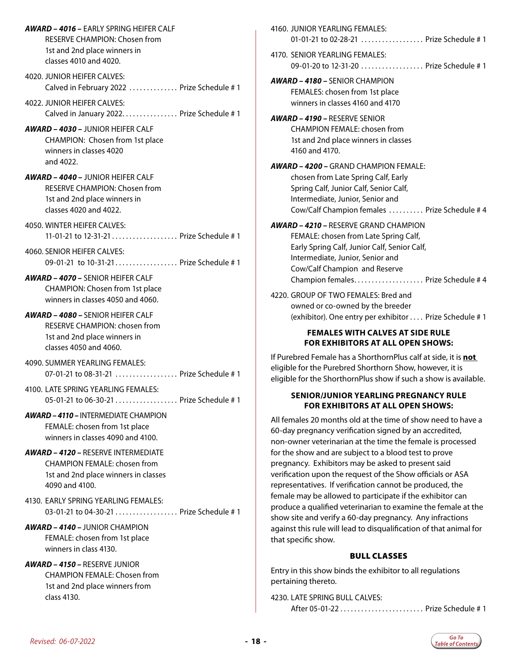*AWARD – 4016 –* EARLY SPRING HEIFER CALF RESERVE CHAMPION: Chosen from 1st and 2nd place winners in classes 4010 and 4020.

4020. JUNIOR HEIFER CALVES: Calved in February 2022 . . . . . . . . . . . . . Prize Schedule # 1

4022. JUNIOR HEIFER CALVES: Calved in January 2022. . . . . . . . . . . . . . . Prize Schedule  $#1$ 

*AWARD – 4030 –* JUNIOR HEIFER CALF CHAMPION: Chosen from 1st place winners in classes 4020 and 4022.

*AWARD – 4040 –* JUNIOR HEIFER CALF RESERVE CHAMPION: Chosen from 1st and 2nd place winners in classes 4020 and 4022.

4050. WINTER HEIFER CALVES: 11-01-21 to 12-31-21. . . Prize Schedule # 1

4060. SENIOR HEIFER CALVES: 09-01-21 to 10-31-21.................. Prize Schedule # 1

*AWARD – 4070 –* SENIOR HEIFER CALF CHAMPION: Chosen from 1st place winners in classes 4050 and 4060.

*AWARD – 4080 –* SENIOR HEIFER CALF

RESERVE CHAMPION: chosen from 1st and 2nd place winners in classes 4050 and 4060.

4090. SUMMER YEARLING FEMALES: 07-01-21 to 08-31-21 . . . . . . . . . . . . . . . . . Prize Schedule # 1

4100. LATE SPRING YEARLING FEMALES: 05-01-21 to 06-30-21 . . . . . . . . . . . . . . . . . Prize Schedule # 1

*AWARD – 4110 –* INTERMEDIATE CHAMPION FEMALE: chosen from 1st place winners in classes 4090 and 4100.

- *AWARD 4120* RESERVE INTERMEDIATE CHAMPION FEMALE: chosen from 1st and 2nd place winners in classes 4090 and 4100.
- 4130. EARLY SPRING YEARLING FEMALES: 03-01-21 to 04-30-21 . . . . . . . . . . . . . . . . Prize Schedule # 1

*AWARD – 4140 –* JUNIOR CHAMPION FEMALE: chosen from 1st place winners in class 4130.

*AWARD – 4150 –* RESERVE JUNIOR CHAMPION FEMALE: Chosen from 1st and 2nd place winners from class 4130.

| 4160. JUNIOR YEARLING FEMALES:<br>01-01-21 to 02-28-21  Prize Schedule # 1                                                                                                                                                                                                                                                                                                                                                                                                                                                                                                                                                                                                                    |
|-----------------------------------------------------------------------------------------------------------------------------------------------------------------------------------------------------------------------------------------------------------------------------------------------------------------------------------------------------------------------------------------------------------------------------------------------------------------------------------------------------------------------------------------------------------------------------------------------------------------------------------------------------------------------------------------------|
| 4170. SENIOR YEARLING FEMALES:<br>09-01-20 to 12-31-20 Prize Schedule # 1                                                                                                                                                                                                                                                                                                                                                                                                                                                                                                                                                                                                                     |
| <b>AWARD - 4180 - SENIOR CHAMPION</b><br>FEMALES: chosen from 1st place<br>winners in classes 4160 and 4170                                                                                                                                                                                                                                                                                                                                                                                                                                                                                                                                                                                   |
| <b>AWARD - 4190 - RESERVE SENIOR</b><br><b>CHAMPION FEMALE: chosen from</b><br>1st and 2nd place winners in classes<br>4160 and 4170.                                                                                                                                                                                                                                                                                                                                                                                                                                                                                                                                                         |
| <b>AWARD - 4200 - GRAND CHAMPION FEMALE:</b><br>chosen from Late Spring Calf, Early<br>Spring Calf, Junior Calf, Senior Calf,<br>Intermediate, Junior, Senior and<br>Cow/Calf Champion females  Prize Schedule #4                                                                                                                                                                                                                                                                                                                                                                                                                                                                             |
| <b>AWARD - 4210 - RESERVE GRAND CHAMPION</b><br>FEMALE: chosen from Late Spring Calf,<br>Early Spring Calf, Junior Calf, Senior Calf,<br>Intermediate, Junior, Senior and<br>Cow/Calf Champion and Reserve<br>Champion females Prize Schedule # 4                                                                                                                                                                                                                                                                                                                                                                                                                                             |
| 4220. GROUP OF TWO FEMALES: Bred and<br>owned or co-owned by the breeder<br>(exhibitor). One entry per exhibitor Prize Schedule # 1                                                                                                                                                                                                                                                                                                                                                                                                                                                                                                                                                           |
| <b>FEMALES WITH CALVES AT SIDE RULE</b><br><b>FOR EXHIBITORS AT ALL OPEN SHOWS:</b>                                                                                                                                                                                                                                                                                                                                                                                                                                                                                                                                                                                                           |
| If Purebred Female has a ShorthornPlus calf at side, it is not<br>eligible for the Purebred Shorthorn Show, however, it is<br>eligible for the ShorthornPlus show if such a show is available.                                                                                                                                                                                                                                                                                                                                                                                                                                                                                                |
| <b>SENIOR/JUNIOR YEARLING PREGNANCY RULE</b><br><b>FOR EXHIBITORS AT ALL OPEN SHOWS:</b>                                                                                                                                                                                                                                                                                                                                                                                                                                                                                                                                                                                                      |
| All females 20 months old at the time of show need to have a<br>60-day pregnancy verification signed by an accredited,<br>non-owner veterinarian at the time the female is processed<br>for the show and are subject to a blood test to prove<br>pregnancy. Exhibitors may be asked to present said<br>verification upon the request of the Show officials or ASA<br>representatives. If verification cannot be produced, the<br>female may be allowed to participate if the exhibitor can<br>produce a qualified veterinarian to examine the female at the<br>show site and verify a 60-day pregnancy. Any infractions<br>against this rule will lead to disqualification of that animal for |

#### BULL CLASSES

Entry in this show binds the exhibitor to all regulations pertaining thereto.

4230. LATE SPRING BULL CALVES:

that specific show.

After 05-01-22. . . Prize Schedule # 1

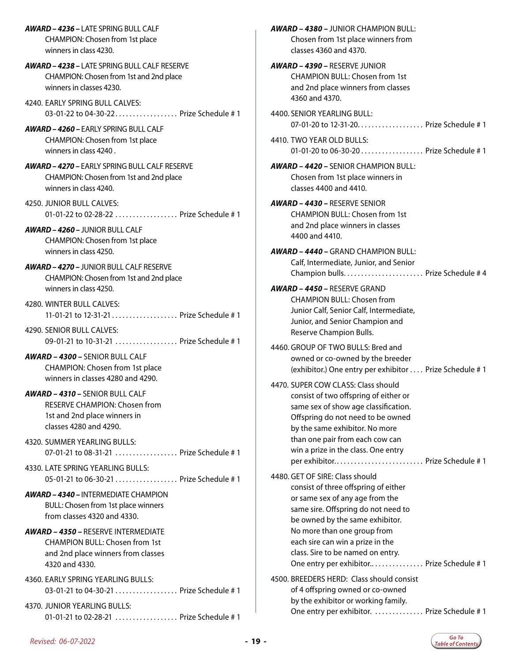*AWARD – 4236 –* LATE SPRING BULL CALF CHAMPION: Chosen from 1st place winners in class 4230.

*AWARD – 4238 –* LATE SPRING BULL CALF RESERVE CHAMPION: Chosen from 1st and 2nd place winners in classes 4230.

4240. EARLY SPRING BULL CALVES: 03-01-22 to 04-30-22................... Prize Schedule # 1

*AWARD – 4260 –* EARLY SPRING BULL CALF CHAMPION: Chosen from 1st place winners in class 4240 .

*AWARD – 4270 –* EARLY SPRING BULL CALF RESERVE CHAMPION: Chosen from 1st and 2nd place winners in class 4240.

4250. JUNIOR BULL CALVES: 01-01-22 to 02-28-22 . . . . . . . . . . . . . . . . . Prize Schedule # 1

*AWARD – 4260 –* JUNIOR BULL CALF CHAMPION: Chosen from 1st place winners in class 4250.

*AWARD – 4270 –* JUNIOR BULL CALF RESERVE CHAMPION: Chosen from 1st and 2nd place winners in class 4250.

4280. WINTER BULL CALVES: 11-01-21 to 12-31-21. . . Prize Schedule # 1

4290. SENIOR BULL CALVES: 09-01-21 to 10-31-21 ................... Prize Schedule # 1

*AWARD – 4300 –* SENIOR BULL CALF CHAMPION: Chosen from 1st place winners in classes 4280 and 4290.

*AWARD – 4310 –* SENIOR BULL CALF RESERVE CHAMPION: Chosen from 1st and 2nd place winners in classes 4280 and 4290.

4320. SUMMER YEARLING BULLS: 07-01-21 to 08-31-21 .................... Prize Schedule # 1

4330. LATE SPRING YEARLING BULLS: 05-01-21 to 06-30-21 . . . . . . . . . . . . . . . . . Prize Schedule # 1

*AWARD – 4340 –* INTERMEDIATE CHAMPION BULL: Chosen from 1st place winners from classes 4320 and 4330.

#### *AWARD – 4350 –* RESERVE INTERMEDIATE CHAMPION BULL: Chosen from 1st and 2nd place winners from classes 4320 and 4330.

4360. EARLY SPRING YEARLING BULLS: 03-01-21 to 04-30-21 . . . . . . . . . . . . . . . . Prize Schedule # 1

4370. JUNIOR YEARLING BULLS: 01-01-21 to 02-28-21 ................... Prize Schedule # 1 *AWARD – 4380 –* JUNIOR CHAMPION BULL: Chosen from 1st place winners from classes 4360 and 4370.

*AWARD – 4390 –* RESERVE JUNIOR CHAMPION BULL: Chosen from 1st and 2nd place winners from classes 4360 and 4370.

4400. SENIOR YEARLING BULL: 07-01-20 to 12-31-20. . . . . . . . . . . . . . . . . . Prize Schedule # 1

4410. TWO YEAR OLD BULLS: 01-01-20 to 06-30-20. . . Prize Schedule # 1

*AWARD – 4420 –* SENIOR CHAMPION BULL: Chosen from 1st place winners in classes 4400 and 4410.

*AWARD – 4430 –* RESERVE SENIOR CHAMPION BULL: Chosen from 1st and 2nd place winners in classes 4400 and 4410.

*AWARD – 4440 –* GRAND CHAMPION BULL: Calf, Intermediate, Junior, and Senior Champion bulls. . . Prize Schedule # 4

#### *AWARD – 4450 –* RESERVE GRAND CHAMPION BULL: Chosen from Junior Calf, Senior Calf, Intermediate,

Junior, and Senior Champion and Reserve Champion Bulls.

4460. GROUP OF TWO BULLS: Bred and owned or co-owned by the breeder (exhibitor.) One entry per exhibitor. . . Prize Schedule # 1

#### 4470. SUPER COW CLASS: Class should consist of two offspring of either or same sex of show age classification. Offspring do not need to be owned by the same exhibitor. No more than one pair from each cow can win a prize in the class. One entry per exhibitor............................. Prize Schedule # 1

4480. GET OF SIRE: Class should consist of three offspring of either or same sex of any age from the same sire. Offspring do not need to be owned by the same exhibitor. No more than one group from each sire can win a prize in the class. Sire to be named on entry. One entry per exhibitor.. . . . . . . . . . . . . . Prize Schedule # 1

4500. BREEDERS HERD: Class should consist of 4 offspring owned or co-owned by the exhibitor or working family. One entry per exhibitor. .............. Prize Schedule #1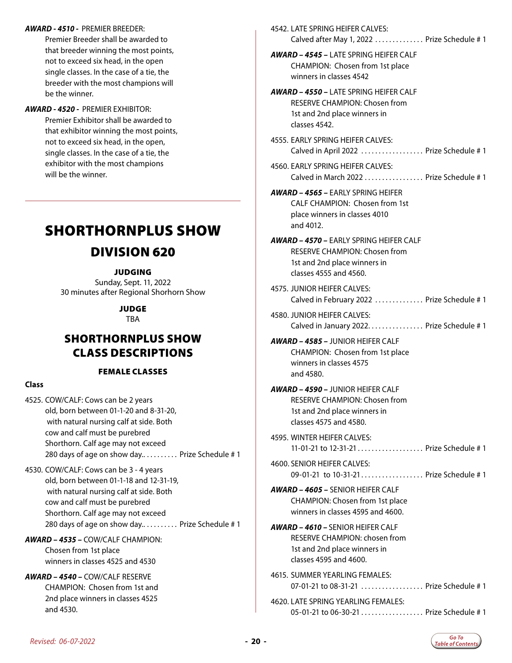- <span id="page-19-0"></span>*AWARD - 4510 -* PREMIER BREEDER: Premier Breeder shall be awarded to that breeder winning the most points, not to exceed six head, in the open single classes. In the case of a tie, the breeder with the most champions will be the winner.
- *AWARD 4520* PREMIER EXHIBITOR: Premier Exhibitor shall be awarded to that exhibitor winning the most points, not to exceed six head, in the open, single classes. In the case of a tie, the exhibitor with the most champions will be the winner.

# SHORTHORNPLUS SHOW DIVISION 620

#### JUDGING

Sunday, Sept. 11, 2022 30 minutes after Regional Shorhorn Show

> JUDGE **TBA**

### SHORTHORNPLUS SHOW CLASS DESCRIPTIONS

#### FEMALE CLASSES

#### **Class**

- 4525. COW/CALF: Cows can be 2 years old, born between 01-1-20 and 8-31-20, with natural nursing calf at side. Both cow and calf must be purebred Shorthorn. Calf age may not exceed 280 days of age on show day.......... Prize Schedule # 1
- 4530. COW/CALF: Cows can be 3 4 years old, born between 01-1-18 and 12-31-19, with natural nursing calf at side. Both cow and calf must be purebred Shorthorn. Calf age may not exceed 280 days of age on show day.......... Prize Schedule # 1
- *AWARD 4535 –* COW/CALF CHAMPION: Chosen from 1st place winners in classes 4525 and 4530
- *AWARD 4540 –* COW/CALF RESERVE CHAMPION: Chosen from 1st and 2nd place winners in classes 4525 and 4530.

|  | 4542. LATE SPRING HEIFER CALVES:<br>Calved after May 1, 2022  Prize Schedule # 1                                                          |
|--|-------------------------------------------------------------------------------------------------------------------------------------------|
|  | <b>AWARD - 4545 - I ATF SPRING HEIFER CALE</b><br>CHAMPION: Chosen from 1st place<br>winners in classes 4542                              |
|  | <b>AWARD - 4550 - LATE SPRING HEIFER CALF</b><br><b>RESERVE CHAMPION: Chosen from</b><br>1st and 2nd place winners in<br>classes 4542.    |
|  | 4555. FARI Y SPRING HEIFFR CALVES:<br>Calved in April 2022  Prize Schedule #1                                                             |
|  | 4560. EARLY SPRING HEIFER CALVES:<br>Calved in March 2022  Prize Schedule # 1                                                             |
|  | <b>AWARD – 4565 –</b> EARLY SPRING HEIFER<br><b>CALF CHAMPION: Chosen from 1st</b><br>place winners in classes 4010<br>and 4012.          |
|  | <b>AWARD - 4570 - EARLY SPRING HEIFER CALF</b><br>RESERVE CHAMPION: Chosen from<br>1st and 2nd place winners in<br>classes 4555 and 4560. |
|  | 4575. JUNIOR HEIFER CALVES:<br>Calved in February 2022  Prize Schedule #1                                                                 |
|  | 4580. JUNIOR HEIFER CALVES:<br>Calved in January 2022. Prize Schedule # 1                                                                 |
|  | <b>AWARD - 4585 - JUNIOR HEIFER CALF</b><br>CHAMPION: Chosen from 1st place<br>winners in classes 4575<br>and 4580.                       |
|  | <b>AWARD - 4590 - JUNIOR HEIFER CALF</b><br>RESERVE CHAMPION: Chosen from<br>1st and 2nd place winners in<br>classes 4575 and 4580.       |
|  | 4595. WINTER HEIFER CALVES:<br>11-01-21 to 12-31-21  Prize Schedule # 1                                                                   |
|  | 4600. SENIOR HEIFER CALVES:<br>09-01-21 to 10-31-21 Prize Schedule # 1                                                                    |
|  | <b>AWARD - 4605 - SENIOR HEIFER CALF</b><br>CHAMPION: Chosen from 1st place<br>winners in classes 4595 and 4600.                          |
|  | <b>AWARD - 4610 - SENIOR HEIFER CALF</b><br>RESERVE CHAMPION: chosen from<br>1st and 2nd place winners in<br>classes 4595 and 4600.       |
|  | 4615. SUMMER YEARLING FEMALES:<br>07-01-21 to 08-31-21  Prize Schedule # 1                                                                |
|  | 4620. LATE SPRING YEARLING FEMALES:<br>05-01-21 to 06-30-21  Prize Schedule # 1                                                           |

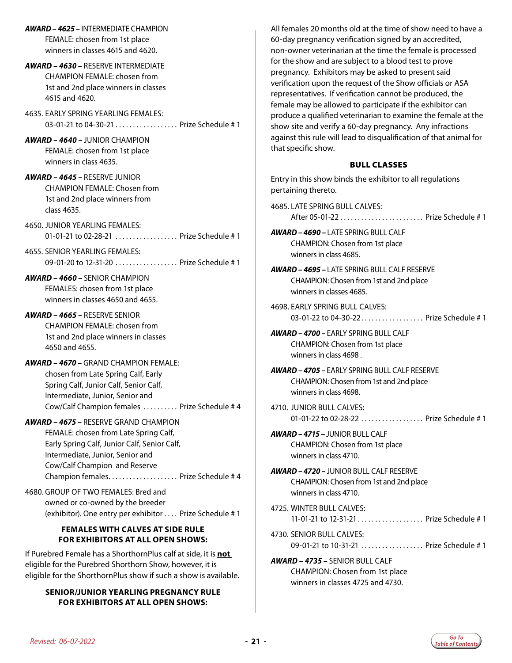- *AWARD 4625* INTERMEDIATE CHAMPION FEMALE: chosen from 1st place winners in classes 4615 and 4620.
- *AWARD 4630* RESERVE INTERMEDIATE CHAMPION FEMALE: chosen from 1st and 2nd place winners in classes 4615 and 4620.

4635. EARLY SPRING YEARLING FEMALES: 03-01-21 to 04-30-21 . . . . . . . . . . . . . . . . Prize Schedule # 1

*AWARD – 4640 –* JUNIOR CHAMPION FEMALE: chosen from 1st place winners in class 4635.

- *AWARD 4645* RESERVE JUNIOR CHAMPION FEMALE: Chosen from 1st and 2nd place winners from class 4635.
- 4650. JUNIOR YEARLING FEMALES: 01-01-21 to 02-28-21 ................... Prize Schedule # 1

4655. SENIOR YEARLING FEMALES: 09-01-20 to 12-31-20 . . . . . . . . . . . . . . . . Prize Schedule # 1

*AWARD – 4660 –* SENIOR CHAMPION FEMALES: chosen from 1st place winners in classes 4650 and 4655.

- *AWARD 4665* RESERVE SENIOR CHAMPION FEMALE: chosen from 1st and 2nd place winners in classes 4650 and 4655.
- *AWARD 4670* GRAND CHAMPION FEMALE: chosen from Late Spring Calf, Early Spring Calf, Junior Calf, Senior Calf, Intermediate, Junior, Senior and Cow/Calf Champion females . . . . . . . . . . Prize Schedule # 4
- *AWARD 4675* RESERVE GRAND CHAMPION FEMALE: chosen from Late Spring Calf, Early Spring Calf, Junior Calf, Senior Calf, Intermediate, Junior, Senior and Cow/Calf Champion and Reserve Champion females. . . Prize Schedule # 4

4680. GROUP OF TWO FEMALES: Bred and owned or co-owned by the breeder (exhibitor). One entry per exhibitor. . . Prize Schedule # 1

#### **FEMALES WITH CALVES AT SIDE RULE FOR EXHIBITORS AT ALL OPEN SHOWS:**

If Purebred Female has a ShorthornPlus calf at side, it is **not**  eligible for the Purebred Shorthorn Show, however, it is eligible for the ShorthornPlus show if such a show is available.

#### **SENIOR/JUNIOR YEARLING PREGNANCY RULE FOR EXHIBITORS AT ALL OPEN SHOWS:**

All females 20 months old at the time of show need to have a 60-day pregnancy verification signed by an accredited, non-owner veterinarian at the time the female is processed for the show and are subject to a blood test to prove pregnancy. Exhibitors may be asked to present said verification upon the request of the Show officials or ASA representatives. If verification cannot be produced, the female may be allowed to participate if the exhibitor can produce a qualified veterinarian to examine the female at the show site and verify a 60-day pregnancy. Any infractions against this rule will lead to disqualification of that animal for that specific show.

#### BULL CLASSES

Entry in this show binds the exhibitor to all regulations pertaining thereto.

4685. LATE SPRING BULL CALVES: After 05-01-22. . . Prize Schedule # 1

- *AWARD 4690* LATE SPRING BULL CALF CHAMPION: Chosen from 1st place winners in class 4685.
- *AWARD 4695* LATE SPRING BULL CALF RESERVE CHAMPION: Chosen from 1st and 2nd place winners in classes 4685.
- 4698. EARLY SPRING BULL CALVES: 03-01-22 to 04-30-22.................... Prize Schedule # 1
- *AWARD 4700* EARLY SPRING BULL CALF CHAMPION: Chosen from 1st place winners in class 4698 .
- *AWARD 4705* EARLY SPRING BULL CALF RESERVE CHAMPION: Chosen from 1st and 2nd place winners in class 4698.
- 4710. JUNIOR BULL CALVES: 01-01-22 to 02-28-22 . . . . . . . . . . . . . . . . . Prize Schedule # 1
- *AWARD 4715* JUNIOR BULL CALF CHAMPION: Chosen from 1st place winners in class 4710.
- *AWARD 4720* JUNIOR BULL CALF RESERVE CHAMPION: Chosen from 1st and 2nd place winners in class 4710.
- 4725. WINTER BULL CALVES: 11-01-21 to 12-31-21. . . Prize Schedule # 1
- 4730. SENIOR BULL CALVES: 09-01-21 to 10-31-21 ................... Prize Schedule # 1

*AWARD – 4735 –* SENIOR BULL CALF CHAMPION: Chosen from 1st place winners in classes 4725 and 4730.

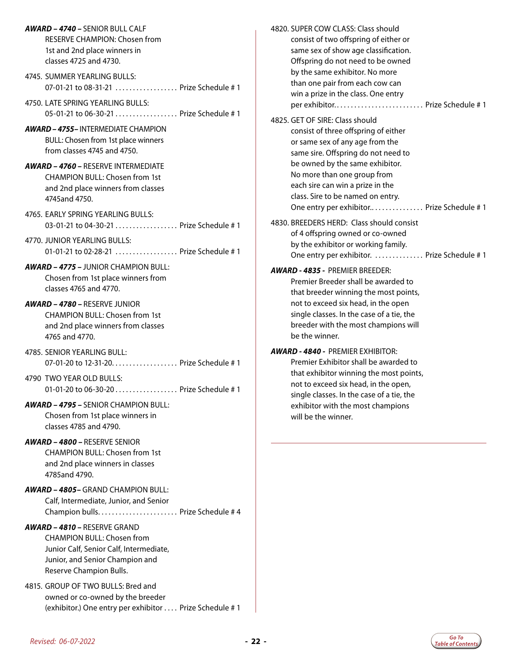| AWARD - 4740 - SENIOR BULL CALF                                            | 4820. SUPER COW CLASS: Class should         |
|----------------------------------------------------------------------------|---------------------------------------------|
| <b>RESERVE CHAMPION: Chosen from</b>                                       | consist of two offspring of either or       |
| 1st and 2nd place winners in                                               | same sex of show age classification.        |
| classes 4725 and 4730.                                                     | Offspring do not need to be owned           |
| 4745. SUMMER YEARLING BULLS:                                               | by the same exhibitor. No more              |
| 07-01-21 to 08-31-21  Prize Schedule # 1                                   | than one pair from each cow can             |
|                                                                            | win a prize in the class. One entry         |
| 4750. LATE SPRING YEARLING BULLS:                                          | per exhibitor Prize Schedule # 1            |
| 05-01-21 to 06-30-21  Prize Schedule # 1                                   | 4825. GET OF SIRE: Class should             |
| <b>AWARD - 4755-INTERMEDIATE CHAMPION</b>                                  | consist of three offspring of either        |
| BULL: Chosen from 1st place winners                                        | or same sex of any age from the             |
| from classes 4745 and 4750.                                                | same sire. Offspring do not need to         |
|                                                                            | be owned by the same exhibitor.             |
| <b>AWARD - 4760 - RESERVE INTERMEDIATE</b>                                 | No more than one group from                 |
| <b>CHAMPION BULL: Chosen from 1st</b>                                      | each sire can win a prize in the            |
| and 2nd place winners from classes                                         | class. Sire to be named on entry.           |
| 4745and 4750.                                                              | One entry per exhibitor Prize Schedule #1   |
| 4765. EARLY SPRING YEARLING BULLS:                                         |                                             |
| 03-01-21 to 04-30-21  Prize Schedule # 1                                   | 4830. BREEDERS HERD: Class should consist   |
|                                                                            | of 4 offspring owned or co-owned            |
| 4770. JUNIOR YEARLING BULLS:<br>01-01-21 to 02-28-21  Prize Schedule # 1   | by the exhibitor or working family.         |
|                                                                            | One entry per exhibitor.  Prize Schedule #1 |
| <b>AWARD - 4775 - JUNIOR CHAMPION BULL:</b>                                | AWARD - 4835 - PREMIER BREEDER:             |
| Chosen from 1st place winners from                                         | Premier Breeder shall be awarded to         |
| classes 4765 and 4770.                                                     | that breeder winning the most points,       |
| AWARD - 4780 - RESERVE JUNIOR                                              | not to exceed six head, in the open         |
| <b>CHAMPION BULL: Chosen from 1st</b>                                      | single classes. In the case of a tie, the   |
| and 2nd place winners from classes                                         | breeder with the most champions will        |
| 4765 and 4770.                                                             | be the winner.                              |
|                                                                            |                                             |
| 4785. SENIOR YEARLING BULL:                                                | AWARD - 4840 - PREMIER EXHIBITOR:           |
| 07-01-20 to 12-31-20. Prize Schedule # 1                                   | Premier Exhibitor shall be awarded to       |
| 4790 TWO YEAR OLD BULLS:                                                   | that exhibitor winning the most points,     |
| 01-01-20 to 06-30-20 Prize Schedule # 1                                    | not to exceed six head, in the open,        |
|                                                                            | single classes. In the case of a tie, the   |
| <b>AWARD - 4795 - SENIOR CHAMPION BULL:</b>                                | exhibitor with the most champions           |
| Chosen from 1st place winners in                                           | will be the winner.                         |
| classes 4785 and 4790.                                                     |                                             |
| <b>AWARD - 4800 - RESERVE SENIOR</b>                                       |                                             |
| <b>CHAMPION BULL: Chosen from 1st</b>                                      |                                             |
| and 2nd place winners in classes                                           |                                             |
| 4785and 4790.                                                              |                                             |
| <b>AWARD - 4805- GRAND CHAMPION BULL:</b>                                  |                                             |
|                                                                            |                                             |
| Calf, Intermediate, Junior, and Senior<br>Champion bulls Prize Schedule #4 |                                             |
|                                                                            |                                             |
| <b>AWARD - 4810 - RESERVE GRAND</b>                                        |                                             |
| <b>CHAMPION BULL: Chosen from</b>                                          |                                             |
| Junior Calf, Senior Calf, Intermediate,                                    |                                             |
| Junior, and Senior Champion and                                            |                                             |
| Reserve Champion Bulls.                                                    |                                             |
| 4815. GROUP OF TWO BULLS: Bred and                                         |                                             |
| owned or co-owned by the breeder                                           |                                             |
| (exhibitor.) One entry per exhibitor  Prize Schedule #1                    |                                             |
|                                                                            |                                             |

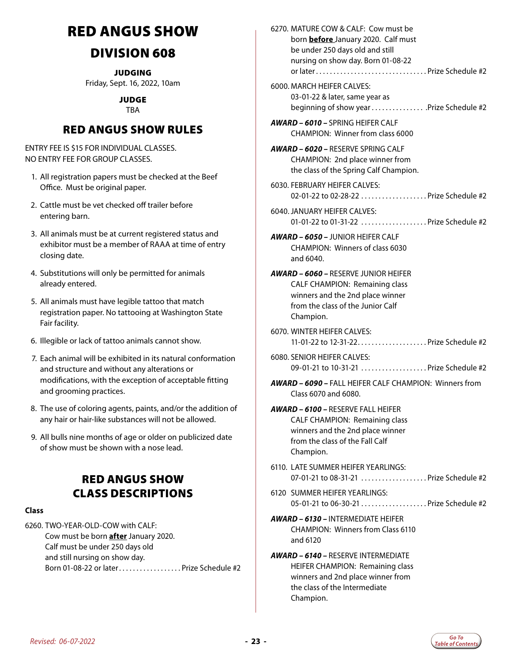# <span id="page-22-0"></span>RED ANGUS SHOW

### DIVISION 608

**JUDGING** Friday, Sept. 16, 2022, 10am

> JUDGE TBA

### RED ANGUS SHOW RULES

ENTRY FEE IS \$15 FOR INDIVIDUAL CLASSES. NO ENTRY FEE FOR GROUP CLASSES.

- 1. All registration papers must be checked at the Beef Office. Must be original paper.
- 2. Cattle must be vet checked off trailer before entering barn.
- 3. All animals must be at current registered status and exhibitor must be a member of RAAA at time of entry closing date.
- 4. Substitutions will only be permitted for animals already entered.
- 5. All animals must have legible tattoo that match registration paper. No tattooing at Washington State Fair facility.
- 6. Illegible or lack of tattoo animals cannot show.
- 7. Each animal will be exhibited in its natural conformation and structure and without any alterations or modifications, with the exception of acceptable fitting and grooming practices.
- 8. The use of coloring agents, paints, and/or the addition of any hair or hair-like substances will not be allowed.
- 9. All bulls nine months of age or older on publicized date of show must be shown with a nose lead.

### RED ANGUS SHOW CLASS DESCRIPTIONS

#### **Class**

6260. TWO-YEAR-OLD-COW with CALF: Cow must be born **after** January 2020. Calf must be under 250 days old and still nursing on show day. Born 01-08-22 or later...................Prize Schedule #2 6270. MATURE COW & CALF: Cow must be born **before** January 2020. Calf must be under 250 days old and still nursing on show day. Born 01-08-22 or later. . Prize Schedule #2

6000. MARCH HEIFER CALVES: 03-01-22 & later, same year as beginning of show year................. .Prize Schedule #2

*AWARD – 6010 –* SPRING HEIFER CALF CHAMPION: Winner from class 6000

*AWARD – 6020 –* RESERVE SPRING CALF CHAMPION: 2nd place winner from the class of the Spring Calf Champion.

- 6030. FEBRUARY HEIFER CALVES: 02-01-22 to 02-28-22 ..................Prize Schedule #2
- 6040. JANUARY HEIFER CALVES: 01-01-22 to 01-31-22 ...................Prize Schedule #2
- *AWARD 6050* JUNIOR HEIFER CALF CHAMPION: Winners of class 6030 and 6040.
- *AWARD 6060* RESERVE JUNIOR HEIFER CALF CHAMPION: Remaining class winners and the 2nd place winner from the class of the Junior Calf Champion.
- 6070. WINTER HEIFER CALVES: 11-01-22 to 12-31-22. . Prize Schedule #2
- 6080. SENIOR HEIFER CALVES: 09-01-21 to 10-31-21 ...................Prize Schedule #2
- *AWARD 6090* FALL HEIFER CALF CHAMPION: Winners from Class 6070 and 6080.

#### *AWARD – 6100 –* RESERVE FALL HEIFER CALF CHAMPION: Remaining class winners and the 2nd place winner from the class of the Fall Calf Champion.

- 6110. LATE SUMMER HEIFER YEARLINGS: 07-01-21 to 08-31-21 . . . . . . . . . . . . . . . . . . Prize Schedule #2
- 6120 SUMMER HEIFER YEARLINGS: 05-01-21 to 06-30-21.  $\ldots$   $\ldots$   $\ldots$   $\ldots$  Prize Schedule #2
- *AWARD 6130* INTERMEDIATE HEIFER CHAMPION: Winners from Class 6110 and 6120

#### *AWARD – 6140 –* RESERVE INTERMEDIATE HEIFER CHAMPION: Remaining class winners and 2nd place winner from the class of the Intermediate Champion.

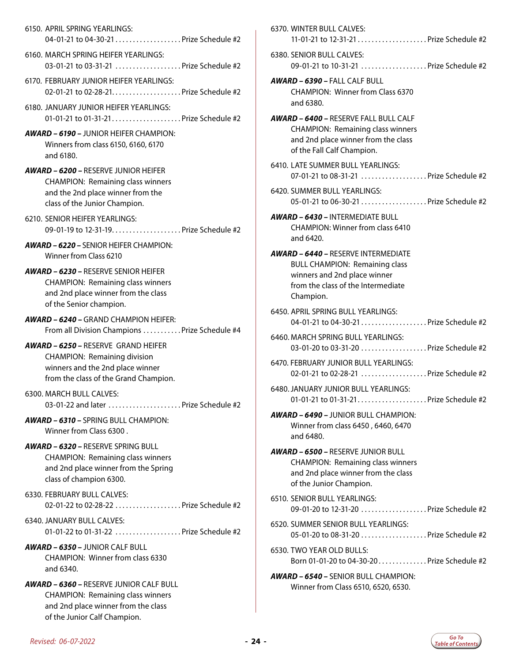- 6150. APRIL SPRING YEARLINGS: 04-01-21 to 04-30-21..................Prize Schedule #2
- 6160. MARCH SPRING HEIFER YEARLINGS: 03-01-21 to 03-31-21 ..................... Prize Schedule #2
- 6170. FEBRUARY JUNIOR HEIFER YEARLINGS: 02-01-21 to 02-28-21..................... Prize Schedule #2
- 6180. JANUARY JUNIOR HEIFER YEARLINGS: 01-01-21 to 01-31-21....................Prize Schedule #2
- *AWARD 6190* JUNIOR HEIFER CHAMPION: Winners from class 6150, 6160, 6170 and 6180.
- *AWARD 6200* RESERVE JUNIOR HEIFER CHAMPION: Remaining class winners and the 2nd place winner from the class of the Junior Champion.
- 6210. SENIOR HEIFER YEARLINGS: 09-01-19 to 12-31-19. . . . . . . . . . . . . . . . . . Prize Schedule #2

*AWARD – 6220 –* SENIOR HEIFER CHAMPION: Winner from Class 6210

- *AWARD 6230* RESERVE SENIOR HEIFER CHAMPION: Remaining class winners and 2nd place winner from the class of the Senior champion.
- *AWARD 6240* GRAND CHAMPION HEIFER: From all Division Champions . . . . . . . . . . Prize Schedule #4
- *AWARD 6250* RESERVE GRAND HEIFER CHAMPION: Remaining division winners and the 2nd place winner from the class of the Grand Champion.
- 6300. MARCH BULL CALVES: 03-01-22 and later  $\ldots$   $\ldots$   $\ldots$   $\ldots$   $\ldots$  . Prize Schedule #2
- *AWARD 6310* SPRING BULL CHAMPION: Winner from Class 6300 .
- *AWARD 6320* RESERVE SPRING BULL CHAMPION: Remaining class winners and 2nd place winner from the Spring class of champion 6300.
- 6330. FEBRUARY BULL CALVES: 02-01-22 to 02-28-22 .................... Prize Schedule #2
- 6340. JANUARY BULL CALVES: 01-01-22 to 01-31-22  $\ldots$   $\ldots$   $\ldots$   $\ldots$  Prize Schedule #2
- *AWARD 6350* JUNIOR CALF BULL CHAMPION: Winner from class 6330 and 6340.
- *AWARD 6360* RESERVE JUNIOR CALF BULL CHAMPION: Remaining class winners and 2nd place winner from the class of the Junior Calf Champion.

| 6370. WINTER BULL CALVES:<br>11-01-21 to 12-31-21  Prize Schedule #2                                                                                                   |
|------------------------------------------------------------------------------------------------------------------------------------------------------------------------|
| 6380. SENIOR BULL CALVES:<br>09-01-21 to 10-31-21  Prize Schedule #2                                                                                                   |
| <b>AWARD - 6390 - FALL CALF BULL</b><br><b>CHAMPION: Winner from Class 6370</b><br>and 6380.                                                                           |
| <b>AWARD - 6400 - RESERVE FALL BULL CALF</b><br><b>CHAMPION: Remaining class winners</b><br>and 2nd place winner from the class<br>of the Fall Calf Champion.          |
| 6410. LATE SUMMER BULL YEARLINGS:<br>07-01-21 to 08-31-21  Prize Schedule #2                                                                                           |
| 6420. SUMMER BULL YEARLINGS:<br>05-01-21 to 06-30-21 Prize Schedule #2                                                                                                 |
| <b>AWARD - 6430 - INTFRMEDIATE BULL</b><br><b>CHAMPION: Winner from class 6410</b><br>and 6420.                                                                        |
| <b>AWARD – 6440 –</b> RESERVE INTERMEDIATE<br><b>BULL CHAMPION: Remaining class</b><br>winners and 2nd place winner<br>from the class of the Intermediate<br>Champion. |
| 6450. APRIL SPRING BULL YEARLINGS:<br>04-01-21 to 04-30-21Prize Schedule #2                                                                                            |
| 6460. MARCH SPRING BULL YEARLINGS:<br>03-01-20 to 03-31-20 Prize Schedule #2                                                                                           |
| 6470. FEBRUARY JUNIOR BULL YEARLINGS:<br>02-01-21 to 02-28-21  Prize Schedule #2                                                                                       |
| 6480. JANUARY JUNIOR BULL YEARLINGS:<br>01-01-21 to 01-31-21Prize Schedule #2                                                                                          |
| <b>AWARD - 6490 - JUNIOR BULL CHAMPION:</b><br>Winner from class 6450, 6460, 6470<br>and 6480.                                                                         |
| <b>AWARD - 6500 - RESERVE JUNIOR BULL</b><br><b>CHAMPION: Remaining class winners</b><br>and 2nd place winner from the class<br>of the Junior Champion.                |
| 6510. SENIOR BULL YEARLINGS:<br>09-01-20 to 12-31-20  Prize Schedule #2                                                                                                |
| 6520. SUMMER SENIOR BULL YEARLINGS:<br>05-01-20 to 08-31-20 Prize Schedule #2                                                                                          |
| 6530. TWO YEAR OLD BULLS:<br>Born 01-01-20 to 04-30-20Prize Schedule #2                                                                                                |
| <b>AWARD - 6540 - SENIOR BULL CHAMPION:</b><br>Winner from Class 6510, 6520, 6530.                                                                                     |

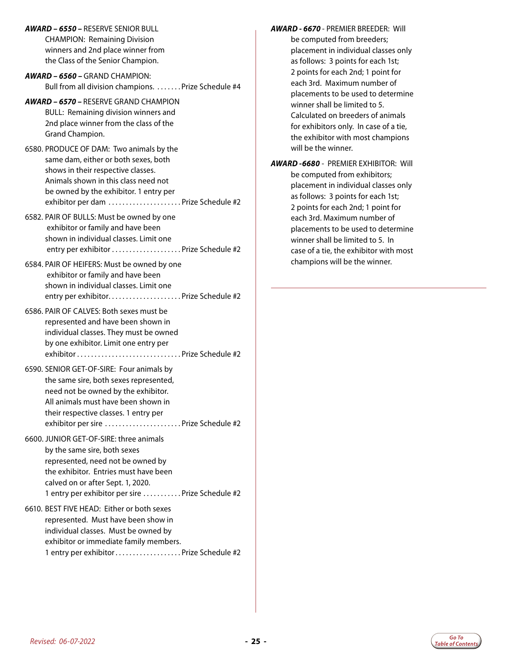*AWARD – 6550 –* RESERVE SENIOR BULL CHAMPION: Remaining Division winners and 2nd place winner from the Class of the Senior Champion.

- *AWARD 6560* GRAND CHAMPION: Bull from all division champions. . . . . . . . Prize Schedule #4
- *AWARD 6570* RESERVE GRAND CHAMPION BULL: Remaining division winners and 2nd place winner from the class of the Grand Champion.
- 6580. PRODUCE OF DAM: Two animals by the same dam, either or both sexes, both shows in their respective classes. Animals shown in this class need not be owned by the exhibitor. 1 entry per exhibitor per dam ...................... Prize Schedule #2
- 6582. PAIR OF BULLS: Must be owned by one exhibitor or family and have been shown in individual classes. Limit one entry per exhibitor. . Prize Schedule #2
- 6584. PAIR OF HEIFERS: Must be owned by one exhibitor or family and have been shown in individual classes. Limit one entry per exhibitor. . Prize Schedule #2
- 6586. PAIR OF CALVES: Both sexes must be represented and have been shown in individual classes. They must be owned by one exhibitor. Limit one entry per exhibitor. . Prize Schedule #2
- 6590. SENIOR GET-OF-SIRE: Four animals by the same sire, both sexes represented, need not be owned by the exhibitor. All animals must have been shown in their respective classes. 1 entry per exhibitor per sire. . Prize Schedule #2
- 6600. JUNIOR GET-OF-SIRE: three animals by the same sire, both sexes represented, need not be owned by the exhibitor. Entries must have been calved on or after Sept. 1, 2020. 1 entry per exhibitor per sire . . . . . . . . . . Prize Schedule #2
- 6610. BEST FIVE HEAD: Either or both sexes represented. Must have been show in individual classes. Must be owned by exhibitor or immediate family members. 1 entry per exhibitor..................Prize Schedule #2
- *AWARD 6670*  PREMIER BREEDER: Will be computed from breeders; placement in individual classes only as follows: 3 points for each 1st; 2 points for each 2nd; 1 point for each 3rd. Maximum number of placements to be used to determine winner shall be limited to 5. Calculated on breeders of animals for exhibitors only. In case of a tie, the exhibitor with most champions will be the winner.
- *AWARD -6680* PREMIER EXHIBITOR: Will be computed from exhibitors; placement in individual classes only as follows: 3 points for each 1st; 2 points for each 2nd; 1 point for each 3rd. Maximum number of placements to be used to determine winner shall be limited to 5. In case of a tie, the exhibitor with most champions will be the winner.

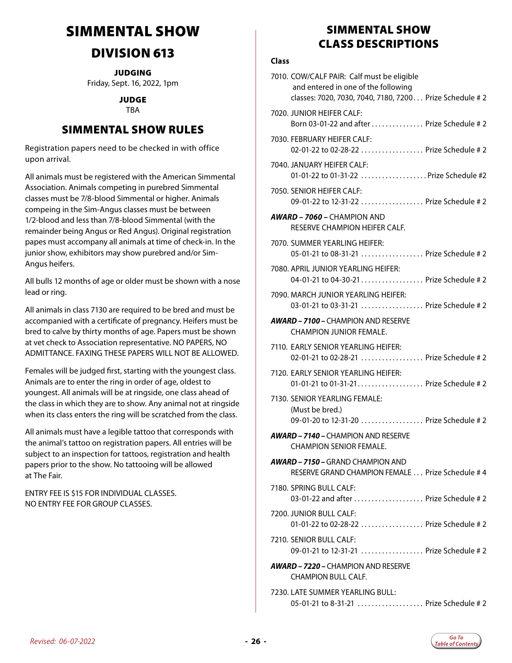# <span id="page-25-0"></span>SIMMENTAL SHOW

### DIVISION 613

**JUDGING** Friday, Sept. 16, 2022, 1pm

#### JUDGE

#### TBA

### SIMMENTAL SHOW RULES

Registration papers need to be checked in with office upon arrival.

All animals must be registered with the American Simmental Association. Animals competing in purebred Simmental classes must be 7/8-blood Simmental or higher. Animals compeing in the Sim-Angus classes must be between 1/2-blood and less than 7/8-blood Simmental (with the remainder being Angus or Red Angus). Original registration papes must accompany all animals at time of check-in. In the junior show, exhibitors may show purebred and/or Sim-Angus heifers.

All bulls 12 months of age or older must be shown with a nose lead or ring.

All animals in class 7130 are required to be bred and must be accompanied with a certificate of pregnancy. Heifers must be bred to calve by thirty months of age. Papers must be shown at vet check to Association representative. NO PAPERS, NO ADMITTANCE. FAXING THESE PAPERS WILL NOT BE ALLOWED.

Females will be judged first, starting with the youngest class. Animals are to enter the ring in order of age, oldest to youngest. All animals will be at ringside, one class ahead of the class in which they are to show. Any animal not at ringside when its class enters the ring will be scratched from the class.

All animals must have a legible tattoo that corresponds with the animal's tattoo on registration papers. All entries will be subject to an inspection for tattoos, registration and health papers prior to the show. No tattooing will be allowed at The Fair.

ENTRY FEE IS \$15 FOR INDIVIDUAL CLASSES. NO ENTRY FEE FOR GROUP CLASSES.

### SIMMENTAL SHOW CLASS DESCRIPTIONS

#### **Class**

| 7010. COW/CALF PAIR: Calf must be eligible<br>and entered in one of the following<br>classes: 7020, 7030, 7040, 7180, 7200 Prize Schedule # 2 |
|-----------------------------------------------------------------------------------------------------------------------------------------------|
| 7020. JUNIOR HEIFER CALF:<br>Born 03-01-22 and after  Prize Schedule #2                                                                       |
| 7030. FEBRUARY HEIFER CALF:<br>02-01-22 to 02-28-22  Prize Schedule # 2                                                                       |
| 7040. JANUARY HEIFER CALF:<br>01-01-22 to 01-31-22 Prize Schedule #2                                                                          |
| 7050. SENIOR HEIFER CALF:<br>09-01-22 to 12-31-22  Prize Schedule # 2                                                                         |
| <b>AWARD – 7060 –</b> CHAMPION AND<br>RESERVE CHAMPION HEIFER CALF.                                                                           |
| 7070. SUMMER YEARLING HEIFER:<br>05-01-21 to 08-31-21  Prize Schedule # 2                                                                     |
| 7080. APRIL JUNIOR YEARLING HEIFER:<br>04-01-21 to 04-30-21 Prize Schedule # 2                                                                |
| 7090. MARCH JUNIOR YEARLING HEIFER:<br>03-01-21 to 03-31-21  Prize Schedule # 2                                                               |
| <b>AWARD – 7100 –</b> CHAMPION AND RESERVE<br>CHAMPION JUNIOR FEMALE.                                                                         |
| 7110. EARLY SENIOR YEARLING HEIFER:<br>02-01-21 to 02-28-21  Prize Schedule # 2                                                               |
| 7120. EARLY SENIOR YEARLING HEIFER:<br>01-01-21 to 01-31-21 Prize Schedule # 2                                                                |
| 7130. SENIOR YEARLING FEMALE:<br>(Must be bred.)<br>09-01-20 to 12-31-20  Prize Schedule # 2                                                  |
| <b>AWARD - 7140 - CHAMPION AND RESERVE</b><br>CHAMPION SENIOR FEMALE.                                                                         |
| <b>AWARD – 7150 –</b> GRAND CHAMPION AND<br>RESERVE GRAND CHAMPION FEMALE  Prize Schedule #4                                                  |
| 7180. SPRING BULL CALF:<br>03-01-22 and after  Prize Schedule # 2                                                                             |
| 7200. JUNIOR BULL CALF:<br>01-01-22 to 02-28-22  Prize Schedule # 2                                                                           |
| 7210. SENIOR BULL CALF:<br>09-01-21 to 12-31-21  Prize Schedule # 2                                                                           |
| <b>AWARD – 7220 –</b> CHAMPION AND RESERVE<br><b>CHAMPION BULL CALF.</b>                                                                      |
| 7230. LATE SUMMER YEARLING BULL:<br>05-01-21 to 8-31-21  Prize Schedule # 2                                                                   |

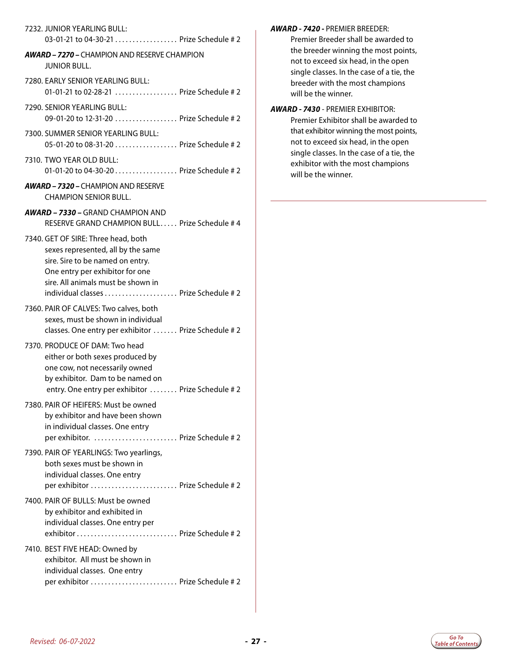#### 7232. JUNIOR YEARLING BULL:

03-01-21 to 04-30-21 . . . . . . . . . . . . . . . . . Prize Schedule # 2

#### *AWARD – 7270 –* CHAMPION AND RESERVE CHAMPION JUNIOR BULL.

- 7280. EARLY SENIOR YEARLING BULL: 01-01-21 to 02-28-21 .................... Prize Schedule # 2
- 7290. SENIOR YEARLING BULL: 09-01-20 to 12-31-20 . . . . . . . . . . . . . . . . . Prize Schedule # 2
- 7300. SUMMER SENIOR YEARLING BULL: 05-01-20 to 08-31-20. . . Prize Schedule # 2
- 7310. TWO YEAR OLD BULL: 01-01-20 to 04-30-20 . . . . . . . . . . . . . . . . Prize Schedule # 2
- *AWARD 7320* CHAMPION AND RESERVE CHAMPION SENIOR BULL.
- *AWARD 7330* GRAND CHAMPION AND RESERVE GRAND CHAMPION BULL. Prize Schedule # 4
- 7340. GET OF SIRE: Three head, both sexes represented, all by the same sire. Sire to be named on entry. One entry per exhibitor for one sire. All animals must be shown in individual classes. . . Prize Schedule # 2
- 7360. PAIR OF CALVES: Two calves, both sexes, must be shown in individual classes. One entry per exhibitor ....... Prize Schedule # 2
- 7370. PRODUCE OF DAM: Two head either or both sexes produced by one cow, not necessarily owned by exhibitor. Dam to be named on entry. One entry per exhibitor ........ Prize Schedule # 2
- 7380. PAIR OF HEIFERS: Must be owned by exhibitor and have been shown in individual classes. One entry per exhibitor. ........................... Prize Schedule #2
- 7390. PAIR OF YEARLINGS: Two yearlings, both sexes must be shown in individual classes. One entry per exhibitor. . . Prize Schedule # 2
- 7400. PAIR OF BULLS: Must be owned by exhibitor and exhibited in individual classes. One entry per exhibitor. . . Prize Schedule # 2
- 7410. BEST FIVE HEAD: Owned by exhibitor. All must be shown in individual classes. One entry per exhibitor. . . Prize Schedule # 2

#### *AWARD - 7420 -* PREMIER BREEDER:

Premier Breeder shall be awarded to the breeder winning the most points, not to exceed six head, in the open single classes. In the case of a tie, the breeder with the most champions will be the winner.

*AWARD - 7430* - PREMIER EXHIBITOR: Premier Exhibitor shall be awarded to that exhibitor winning the most points, not to exceed six head, in the open single classes. In the case of a tie, the exhibitor with the most champions will be the winner.

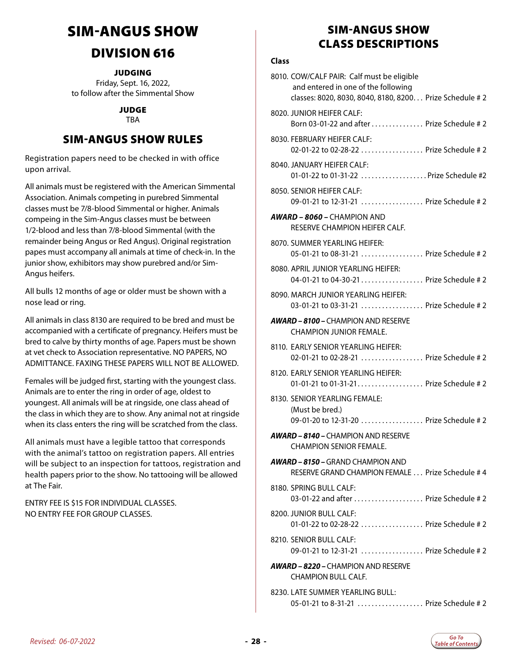# <span id="page-27-0"></span>SIM-ANGUS SHOW

### DIVISION 616

**JUDGING** 

Friday, Sept. 16, 2022, to follow after the Simmental Show

#### JUDGE TBA

### SIM-ANGUS SHOW RULES

Registration papers need to be checked in with office upon arrival.

All animals must be registered with the American Simmental Association. Animals competing in purebred Simmental classes must be 7/8-blood Simmental or higher. Animals compeing in the Sim-Angus classes must be between 1/2-blood and less than 7/8-blood Simmental (with the remainder being Angus or Red Angus). Original registration papes must accompany all animals at time of check-in. In the junior show, exhibitors may show purebred and/or Sim-Angus heifers.

All bulls 12 months of age or older must be shown with a nose lead or ring.

All animals in class 8130 are required to be bred and must be accompanied with a certificate of pregnancy. Heifers must be bred to calve by thirty months of age. Papers must be shown at vet check to Association representative. NO PAPERS, NO ADMITTANCE. FAXING THESE PAPERS WILL NOT BE ALLOWED.

Females will be judged first, starting with the youngest class. Animals are to enter the ring in order of age, oldest to youngest. All animals will be at ringside, one class ahead of the class in which they are to show. Any animal not at ringside when its class enters the ring will be scratched from the class.

All animals must have a legible tattoo that corresponds with the animal's tattoo on registration papers. All entries will be subject to an inspection for tattoos, registration and health papers prior to the show. No tattooing will be allowed at The Fair.

ENTRY FEE IS \$15 FOR INDIVIDUAL CLASSES. NO ENTRY FEE FOR GROUP CLASSES.

### SIM-ANGUS SHOW CLASS DESCRIPTIONS

#### **Class**

| 8010. COW/CALF PAIR: Calf must be eligible<br>and entered in one of the following<br>classes: 8020, 8030, 8040, 8180, 8200 Prize Schedule # 2 |
|-----------------------------------------------------------------------------------------------------------------------------------------------|
| 8020. JUNIOR HEIFER CALF:<br>Born 03-01-22 and after  Prize Schedule #2                                                                       |
| 8030. FEBRUARY HEIFER CALF:<br>02-01-22 to 02-28-22  Prize Schedule # 2                                                                       |
| 8040. JANUARY HEIFER CALF:<br>01-01-22 to 01-31-22  Prize Schedule #2                                                                         |
| 8050. SENIOR HEIFER CALF:<br>09-01-21 to 12-31-21  Prize Schedule # 2                                                                         |
| <b>AWARD – 8060 –</b> CHAMPION AND<br>RESERVE CHAMPION HEIFER CALF.                                                                           |
| 8070. SUMMER YEARLING HEIFER:<br>05-01-21 to 08-31-21  Prize Schedule # 2                                                                     |
| 8080. APRIL JUNIOR YEARLING HEIFER:<br>04-01-21 to 04-30-21 Prize Schedule # 2                                                                |
| 8090. MARCH JUNIOR YEARLING HEIFER:<br>03-01-21 to 03-31-21  Prize Schedule # 2                                                               |
| <b>AWARD - 8100 - CHAMPION AND RESERVE</b><br>CHAMPION JUNIOR FEMALE.                                                                         |
| 8110. EARLY SENIOR YEARLING HEIFER:<br>02-01-21 to 02-28-21  Prize Schedule # 2                                                               |
| 8120. EARLY SENIOR YEARLING HEIFER:<br>01-01-21 to 01-31-21 Prize Schedule # 2                                                                |
| 8130. SENIOR YEARLING FEMALE:<br>(Must be bred.)<br>09-01-20 to 12-31-20  Prize Schedule # 2                                                  |
| <b>AWARD - 8140 - CHAMPION AND RESERVE</b><br>CHAMPION SENIOR FEMALE.                                                                         |
| <b>AWARD – 8150 –</b> GRAND CHAMPION AND<br>RESERVE GRAND CHAMPION FEMALE  Prize Schedule #4                                                  |
| 8180. SPRING BULL CALF:<br>03-01-22 and after  Prize Schedule # 2                                                                             |
| 8200. JUNIOR BULL CALF:<br>01-01-22 to 02-28-22  Prize Schedule # 2                                                                           |
| 8210. SENIOR BULL CALF:<br>09-01-21 to 12-31-21  Prize Schedule # 2                                                                           |
| <b>AWARD – 8220 –</b> CHAMPION AND RESERVE<br><b>CHAMPION BULL CALF.</b>                                                                      |
| 8230. LATE SUMMER YEARLING BULL:<br>05-01-21 to 8-31-21  Prize Schedule # 2                                                                   |

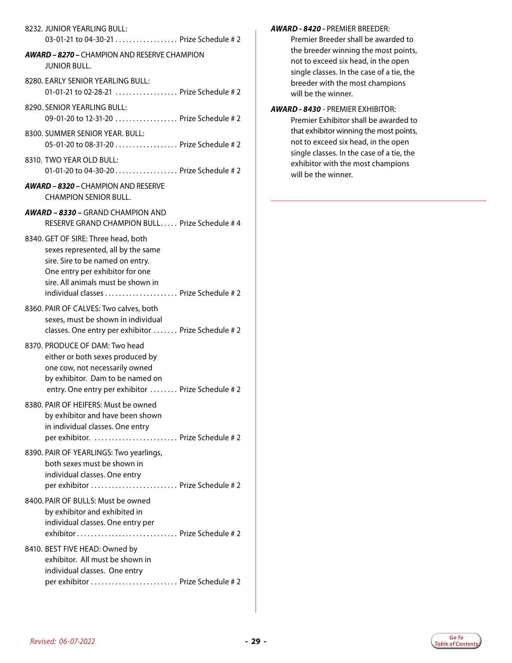#### 8232. JUNIOR YEARLING BULL:

03-01-21 to 04-30-21 . . . . . . . . . . . . . . . . . Prize Schedule # 2

#### *AWARD – 8270 –* CHAMPION AND RESERVE CHAMPION JUNIOR BULL.

- 8280. EARLY SENIOR YEARLING BULL: 01-01-21 to 02-28-21 .................... Prize Schedule # 2
- 8290. SENIOR YEARLING BULL: 09-01-20 to 12-31-20 . . . . . . . . . . . . . . . . . Prize Schedule # 2
- 8300. SUMMER SENIOR YEAR. BULL: 05-01-20 to 08-31-20. . . Prize Schedule # 2
- 8310. TWO YEAR OLD BULL: 01-01-20 to 04-30-20 . . . . . . . . . . . . . . . . Prize Schedule # 2
- *AWARD 8320* CHAMPION AND RESERVE CHAMPION SENIOR BULL.
- *AWARD 8330* GRAND CHAMPION AND RESERVE GRAND CHAMPION BULL. Prize Schedule # 4
- 8340. GET OF SIRE: Three head, both sexes represented, all by the same sire. Sire to be named on entry. One entry per exhibitor for one sire. All animals must be shown in individual classes. . . Prize Schedule # 2
- 8360. PAIR OF CALVES: Two calves, both sexes, must be shown in individual classes. One entry per exhibitor ....... Prize Schedule # 2
- 8370. PRODUCE OF DAM: Two head either or both sexes produced by one cow, not necessarily owned by exhibitor. Dam to be named on entry. One entry per exhibitor ........ Prize Schedule # 2
- 8380. PAIR OF HEIFERS: Must be owned by exhibitor and have been shown in individual classes. One entry per exhibitor. ............................ Prize Schedule #2
- 8390. PAIR OF YEARLINGS: Two yearlings, both sexes must be shown in individual classes. One entry per exhibitor. . . Prize Schedule # 2
- 8400. PAIR OF BULLS: Must be owned by exhibitor and exhibited in individual classes. One entry per exhibitor. . . Prize Schedule # 2
- 8410. BEST FIVE HEAD: Owned by exhibitor. All must be shown in individual classes. One entry per exhibitor. . . Prize Schedule # 2

#### *AWARD - 8420 -* PREMIER BREEDER:

Premier Breeder shall be awarded to the breeder winning the most points, not to exceed six head, in the open single classes. In the case of a tie, the breeder with the most champions will be the winner.

*AWARD - 8430* - PREMIER EXHIBITOR: Premier Exhibitor shall be awarded to that exhibitor winning the most points, not to exceed six head, in the open single classes. In the case of a tie, the exhibitor with the most champions will be the winner.

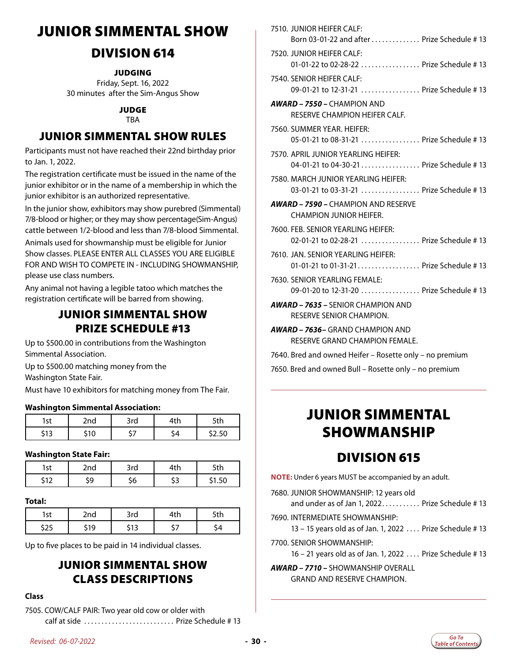# <span id="page-29-0"></span>JUNIOR SIMMENTAL SHOW

### DIVISION 614

**JUDGING** 

Friday, Sept. 16, 2022 30 minutes after the Sim-Angus Show

#### JUDGE TBA

### JUNIOR SIMMENTAL SHOW RULES

Participants must not have reached their 22nd birthday prior to Jan. 1, 2022.

The registration certificate must be issued in the name of the junior exhibitor or in the name of a membership in which the junior exhibitor is an authorized representative.

In the junior show, exhibitors may show purebred (Simmental) 7/8-blood or higher; or they may show percentage(Sim-Angus) cattle between 1/2-blood and less than 7/8-blood Simmental.

Animals used for showmanship must be eligible for Junior Show classes. PLEASE ENTER ALL CLASSES YOU ARE ELIGIBLE FOR AND WISH TO COMPETE IN - INCLUDING SHOWMANSHIP, please use class numbers.

Any animal not having a legible tatoo which matches the registration certificate will be barred from showing.

### JUNIOR SIMMENTAL SHOW PRIZE SCHEDULE #13

Up to \$500.00 in contributions from the Washington Simmental Association.

Up to \$500.00 matching money from the Washington State Fair.

Must have 10 exhibitors for matching money from The Fair.

#### **Washington Simmental Association:**

| lst                        | 2nd | 3rd | 1 L | u  |  |
|----------------------------|-----|-----|-----|----|--|
| $\ddot{\phantom{1}}$<br>יי |     | -   | -   | ′… |  |

#### **Washington State Fair:**

| -+<br>∣>l | )nd | بالغا<br>3rd<br>tlii |                      | นเ  |  |
|-----------|-----|----------------------|----------------------|-----|--|
| . .       |     |                      | $\cdot$ $\sim$<br>~~ | .50 |  |

#### **Total:**

| r f | 100 <sub>1</sub> |  |  |
|-----|------------------|--|--|
|     |                  |  |  |

Up to five places to be paid in 14 individual classes.

### JUNIOR SIMMENTAL SHOW CLASS DESCRIPTIONS

#### **Class**

7505. COW/CALF PAIR: Two year old cow or older with calf at side. . . Prize Schedule # 13

| 7310. JUNIUN HEILEN CALL.<br>Born 03-01-22 and after  Prize Schedule #13         |
|----------------------------------------------------------------------------------|
| 7520. JUNIOR HEIFER CALF:<br>01-01-22 to 02-28-22  Prize Schedule # 13           |
| 7540. SENIOR HEIFER CALF:<br>09-01-21 to 12-31-21  Prize Schedule # 13           |
| <b>AWARD - 7550 - CHAMPION AND</b><br>RESERVE CHAMPION HEIFER CALF.              |
| 7560. SUMMER YEAR. HEIFER:<br>05-01-21 to 08-31-21  Prize Schedule # 13          |
| 7570. APRIL JUNIOR YEARLING HEIFER:<br>04-01-21 to 04-30-21 Prize Schedule # 13  |
| 7580. MARCH JUNIOR YEARLING HEIFER:<br>03-01-21 to 03-31-21  Prize Schedule # 13 |
| <b>AWARD - 7590 - CHAMPION AND RESERVE</b><br>CHAMPION JUNIOR HEIFER.            |
| 7600. FEB. SENIOR YEARLING HEIFER:<br>02-01-21 to 02-28-21  Prize Schedule # 13  |
| 7610. JAN. SENIOR YEARLING HEIFER:<br>01-01-21 to 01-31-21 Prize Schedule # 13   |
| 7630. SENIOR YEARLING FEMALE:<br>09-01-20 to 12-31-20  Prize Schedule # 13       |
| <b>AWARD - 7635 - SENIOR CHAMPION AND</b><br>RESERVE SENIOR CHAMPION.            |
| <b>AWARD - 7636-</b> GRAND CHAMPION AND<br>RESERVE GRAND CHAMPION FEMALE.        |
| 7640. Bred and owned Heifer - Rosette only - no premium                          |

7510. JUNIOR HEIFER CALF:

7650. Bred and owned Bull – Rosette only – no premium

# JUNIOR SIMMENTAL SHOWMANSHIP

### DIVISION 615

**NOTE:** Under 6 years MUST be accompanied by an adult.

7680. JUNIOR SHOWMANSHIP: 12 years old

and under as of Jan 1, 2022.......... Prize Schedule  $# 13$ 

7690. INTERMEDIATE SHOWMANSHIP:

13 – 15 years old as of Jan. 1, 2022. . . Prize Schedule # 13

7700. SENIOR SHOWMANSHIP:

16 – 21 years old as of Jan. 1, 2022. . . Prize Schedule # 13

*AWARD – 7710 –* SHOWMANSHIP OVERALL

GRAND AND RESERVE CHAMPION.

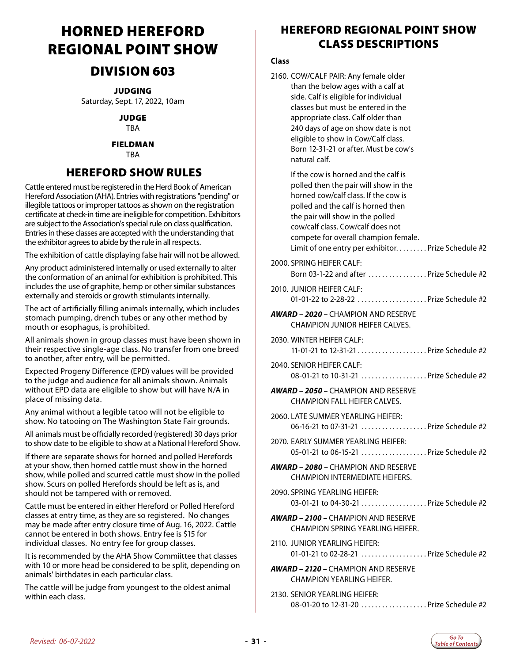# <span id="page-30-0"></span>HORNED HEREFORD REGIONAL POINT SHOW

### DIVISION 603

JUDGING

Saturday, Sept. 17, 2022, 10am

JUDGE

TBA

#### FIELDMAN

TBA

### HEREFORD SHOW RULES

Cattle entered must be registered in the Herd Book of American Hereford Association (AHA). Entries with registrations "pending" or illegible tattoos or improper tattoos as shown on the registration certificate at check-in time are ineligible for competition. Exhibitors are subject to the Association's special rule on class qualification. Entries in these classes are accepted with the understanding that the exhibitor agrees to abide by the rule in all respects.

The exhibition of cattle displaying false hair will not be allowed.

Any product administered internally or used externally to alter the conformation of an animal for exhibition is prohibited. This includes the use of graphite, hemp or other similar substances externally and steroids or growth stimulants internally.

The act of artificially filling animals internally, which includes stomach pumping, drench tubes or any other method by mouth or esophagus, is prohibited.

All animals shown in group classes must have been shown in their respective single-age class. No transfer from one breed to another, after entry, will be permitted.

Expected Progeny Difference (EPD) values will be provided to the judge and audience for all animals shown. Animals without EPD data are eligible to show but will have N/A in place of missing data.

Any animal without a legible tatoo will not be eligible to show. No tatooing on The Washington State Fair grounds.

All animals must be officially recorded (registered) 30 days prior to show date to be eligible to show at a National Hereford Show.

If there are separate shows for horned and polled Herefords at your show, then horned cattle must show in the horned show, while polled and scurred cattle must show in the polled show. Scurs on polled Herefords should be left as is, and should not be tampered with or removed.

Cattle must be entered in either Hereford or Polled Hereford classes at entry time, as they are so registered. No changes may be made after entry closure time of Aug. 16, 2022. Cattle cannot be entered in both shows. Entry fee is \$15 for individual classes. No entry fee for group classes.

It is recommended by the AHA Show Commiittee that classes with 10 or more head be considered to be split, depending on animals' birthdates in each particular class.

The cattle will be judge from youngest to the oldest animal within each class.

### HEREFORD REGIONAL POINT SHOW CLASS DESCRIPTIONS

#### **Class**

2160. COW/CALF PAIR: Any female older than the below ages with a calf at side. Calf is eligible for individual classes but must be entered in the appropriate class. Calf older than 240 days of age on show date is not eligible to show in Cow/Calf class. Born 12-31-21 or after. Must be cow's natural calf.

 If the cow is horned and the calf is polled then the pair will show in the horned cow/calf class. If the cow is polled and the calf is horned then the pair will show in the polled cow/calf class. Cow/calf does not compete for overall champion female. Limit of one entry per exhibitor........ Prize Schedule #2 2000. SPRING HEIFER CALF: Born 03-1-22 and after  $\ldots$   $\ldots$   $\ldots$  . Prize Schedule #2 2010. JUNIOR HEIFER CALF: 01-01-22 to 2-28-22  $\ldots$   $\ldots$   $\ldots$   $\ldots$  Prize Schedule #2 *AWARD – 2020 –* CHAMPION AND RESERVE CHAMPION JUNIOR HEIFER CALVES. 2030. WINTER HEIFER CALF: 11-01-21 to 12-31-21. . Prize Schedule #2 2040. SENIOR HEIFER CALF: 08-01-21 to 10-31-21 ....................Prize Schedule #2 *AWARD – 2050 –* CHAMPION AND RESERVE CHAMPION FALL HEIFER CALVES. 2060. LATE SUMMER YEARLING HEIFER: 06-16-21 to 07-31-21 . . . . . . . . . . . . . . . . . . Prize Schedule #2 2070. EARLY SUMMER YEARLING HEIFER: 05-01-21 to 06-15-21 .................... Prize Schedule #2 *AWARD – 2080 –* CHAMPION AND RESERVE CHAMPION INTERMEDIATE HEIFERS. 2090. SPRING YEARLING HEIFER: 03-01-21 to 04-30-21 . . . . . . . . . . . . . . . . . Prize Schedule #2 *AWARD – 2100 –* CHAMPION AND RESERVE CHAMPION SPRING YEARLING HEIFER. 2110. JUNIOR YEARLING HEIFER: 01-01-21 to 02-28-21 ..................Prize Schedule #2 *AWARD – 2120 –* CHAMPION AND RESERVE CHAMPION YEARLING HEIFER. 2130. SENIOR YEARLING HEIFER:

08-01-20 to 12-31-20 .................Prize Schedule #2

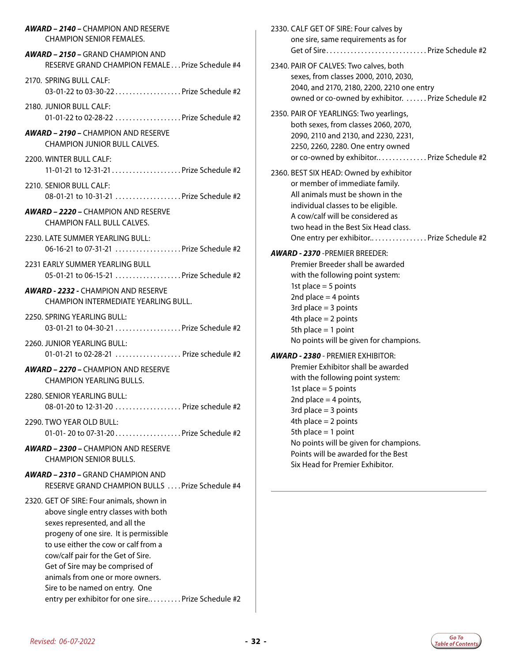| <b>AWARD - 2140 - CHAMPION AND RESERVE</b>                                                                                                                                                                                                                                                                                                                                                                 | 2330. CALF GET OF SIRE: Four calves by                                                                                                   |
|------------------------------------------------------------------------------------------------------------------------------------------------------------------------------------------------------------------------------------------------------------------------------------------------------------------------------------------------------------------------------------------------------------|------------------------------------------------------------------------------------------------------------------------------------------|
| <b>CHAMPION SENIOR FEMALES.</b>                                                                                                                                                                                                                                                                                                                                                                            | one sire, same requirements as for                                                                                                       |
| <b>AWARD - 2150 - GRAND CHAMPION AND</b>                                                                                                                                                                                                                                                                                                                                                                   | Get of Sire Prize Schedule #2                                                                                                            |
| RESERVE GRAND CHAMPION FEMALE Prize Schedule #4                                                                                                                                                                                                                                                                                                                                                            | 2340. PAIR OF CALVES: Two calves, both                                                                                                   |
| 2170. SPRING BULL CALF:<br>03-01-22 to 03-30-22  Prize Schedule #2                                                                                                                                                                                                                                                                                                                                         | sexes, from classes 2000, 2010, 2030,<br>2040, and 2170, 2180, 2200, 2210 one entry<br>owned or co-owned by exhibitor. Prize Schedule #2 |
| 2180. JUNIOR BULL CALF:                                                                                                                                                                                                                                                                                                                                                                                    | 2350. PAIR OF YEARLINGS: Two yearlings,                                                                                                  |
| 01-01-22 to 02-28-22 Prize Schedule #2                                                                                                                                                                                                                                                                                                                                                                     | both sexes, from classes 2060, 2070,                                                                                                     |
| <b>AWARD - 2190 - CHAMPION AND RESERVE</b>                                                                                                                                                                                                                                                                                                                                                                 | 2090, 2110 and 2130, and 2230, 2231,                                                                                                     |
| <b>CHAMPION JUNIOR BULL CALVES.</b>                                                                                                                                                                                                                                                                                                                                                                        | 2250, 2260, 2280. One entry owned                                                                                                        |
| 2200. WINTER BULL CALF:                                                                                                                                                                                                                                                                                                                                                                                    | or co-owned by exhibitor Prize Schedule #2                                                                                               |
|                                                                                                                                                                                                                                                                                                                                                                                                            | 2360. BEST SIX HEAD: Owned by exhibitor                                                                                                  |
| 2210. SENIOR BULL CALF:                                                                                                                                                                                                                                                                                                                                                                                    | or member of immediate family.                                                                                                           |
| 08-01-21 to 10-31-21  Prize Schedule #2                                                                                                                                                                                                                                                                                                                                                                    | All animals must be shown in the                                                                                                         |
| <b>AWARD - 2220 - CHAMPION AND RESERVE</b><br><b>CHAMPION FALL BULL CALVES.</b>                                                                                                                                                                                                                                                                                                                            | individual classes to be eligible.<br>A cow/calf will be considered as<br>two head in the Best Six Head class.                           |
| 2230. LATE SUMMER YEARLING BULL:                                                                                                                                                                                                                                                                                                                                                                           | One entry per exhibitor Prize Schedule #2                                                                                                |
| 06-16-21 to 07-31-21 Prize Schedule #2                                                                                                                                                                                                                                                                                                                                                                     | <b>AWARD - 2370 - PREMIER BREEDER:</b>                                                                                                   |
| 2231 EARLY SUMMER YEARLING BULL                                                                                                                                                                                                                                                                                                                                                                            | Premier Breeder shall be awarded                                                                                                         |
| 05-01-21 to 06-15-21 Prize Schedule #2                                                                                                                                                                                                                                                                                                                                                                     | with the following point system:                                                                                                         |
| <b>AWARD - 2232 - CHAMPION AND RESERVE</b><br>CHAMPION INTERMEDIATE YEARLING BULL.                                                                                                                                                                                                                                                                                                                         | 1st place $=$ 5 points<br>2nd place $=$ 4 points<br>3rd place $=$ 3 points                                                               |
| 2250. SPRING YEARLING BULL:                                                                                                                                                                                                                                                                                                                                                                                | 4th place $= 2$ points                                                                                                                   |
| 03-01-21 to 04-30-21  Prize Schedule #2                                                                                                                                                                                                                                                                                                                                                                    | 5th place = $1$ point                                                                                                                    |
| 2260. JUNIOR YEARLING BULL:                                                                                                                                                                                                                                                                                                                                                                                | No points will be given for champions.                                                                                                   |
| 01-01-21 to 02-28-21  Prize schedule #2                                                                                                                                                                                                                                                                                                                                                                    | AWARD - 2380 - PREMIER EXHIBITOR:                                                                                                        |
| <b>AWARD - 2270 - CHAMPION AND RESERVE</b>                                                                                                                                                                                                                                                                                                                                                                 | Premier Exhibitor shall be awarded                                                                                                       |
| <b>CHAMPION YEARLING BULLS.</b>                                                                                                                                                                                                                                                                                                                                                                            | with the following point system:                                                                                                         |
| 2280. SENIOR YEARLING BULL:<br>08-01-20 to 12-31-20  Prize schedule #2                                                                                                                                                                                                                                                                                                                                     | 1st place $=$ 5 points<br>2nd place = $4$ points,<br>3rd place $=$ 3 points                                                              |
| 2290. TWO YEAR OLD BULL:                                                                                                                                                                                                                                                                                                                                                                                   | 4th place $= 2$ points                                                                                                                   |
| 01-01-20 to 07-31-20Prize Schedule #2                                                                                                                                                                                                                                                                                                                                                                      | 5th place $= 1$ point                                                                                                                    |
| <b>AWARD - 2300 - CHAMPION AND RESERVE</b><br><b>CHAMPION SENIOR BULLS.</b>                                                                                                                                                                                                                                                                                                                                | No points will be given for champions.<br>Points will be awarded for the Best<br>Six Head for Premier Exhibitor.                         |
| <b>AWARD - 2310 - GRAND CHAMPION AND</b><br>RESERVE GRAND CHAMPION BULLS  Prize Schedule #4                                                                                                                                                                                                                                                                                                                |                                                                                                                                          |
| 2320. GET OF SIRE: Four animals, shown in<br>above single entry classes with both<br>sexes represented, and all the<br>progeny of one sire. It is permissible<br>to use either the cow or calf from a<br>cow/calf pair for the Get of Sire.<br>Get of Sire may be comprised of<br>animals from one or more owners.<br>Sire to be named on entry. One<br>entry per exhibitor for one sire Prize Schedule #2 |                                                                                                                                          |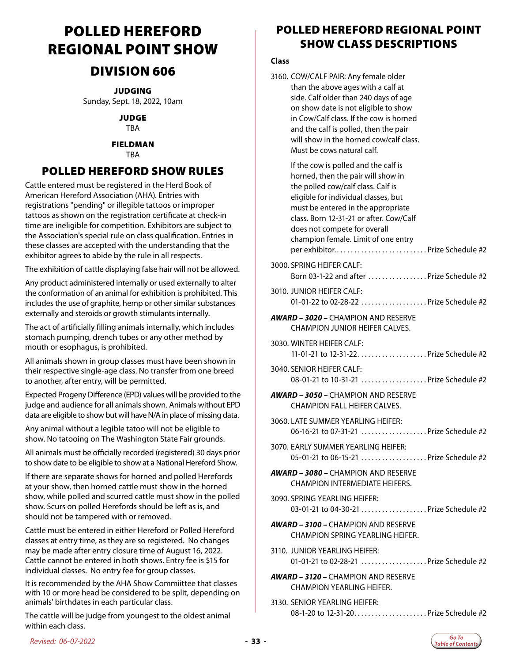# <span id="page-32-0"></span>POLLED HEREFORD REGIONAL POINT SHOW

### DIVISION 606

JUDGING Sunday, Sept. 18, 2022, 10am

> JUDGE TBA

#### FIELDMAN

TBA

### POLLED HEREFORD SHOW RULES

Cattle entered must be registered in the Herd Book of American Hereford Association (AHA). Entries with registrations "pending" or illegible tattoos or improper tattoos as shown on the registration certificate at check-in time are ineligible for competition. Exhibitors are subject to the Association's special rule on class qualification. Entries in these classes are accepted with the understanding that the exhibitor agrees to abide by the rule in all respects.

The exhibition of cattle displaying false hair will not be allowed.

Any product administered internally or used externally to alter the conformation of an animal for exhibition is prohibited. This includes the use of graphite, hemp or other similar substances externally and steroids or growth stimulants internally.

The act of artificially filling animals internally, which includes stomach pumping, drench tubes or any other method by mouth or esophagus, is prohibited.

All animals shown in group classes must have been shown in their respective single-age class. No transfer from one breed to another, after entry, will be permitted.

Expected Progeny Difference (EPD) values will be provided to the judge and audience for all animals shown. Animals without EPD data are eligible to show but will have N/A in place of missing data.

Any animal without a legible tatoo will not be eligible to show. No tatooing on The Washington State Fair grounds.

All animals must be officially recorded (registered) 30 days prior to show date to be eligible to show at a National Hereford Show.

If there are separate shows for horned and polled Herefords at your show, then horned cattle must show in the horned show, while polled and scurred cattle must show in the polled show. Scurs on polled Herefords should be left as is, and should not be tampered with or removed.

Cattle must be entered in either Hereford or Polled Hereford classes at entry time, as they are so registered. No changes may be made after entry closure time of August 16, 2022. Cattle cannot be entered in both shows. Entry fee is \$15 for individual classes. No entry fee for group classes.

It is recommended by the AHA Show Commiittee that classes with 10 or more head be considered to be split, depending on animals' birthdates in each particular class.

The cattle will be judge from youngest to the oldest animal within each class.

### POLLED HEREFORD REGIONAL POINT SHOW CLASS DESCRIPTIONS

#### **Class**

| 3160. COW/CALF PAIR: Any female older   |
|-----------------------------------------|
| than the above ages with a calf at      |
| side. Calf older than 240 days of age   |
| on show date is not eligible to show    |
| in Cow/Calf class. If the cow is horned |
| and the calf is polled, then the pair   |
| will show in the horned cow/calf class. |
| Must be cows natural calf.              |
|                                         |

 If the cow is polled and the calf is horned, then the pair will show in the polled cow/calf class. Calf is eligible for individual classes, but must be entered in the appropriate class. Born 12-31-21 or after. Cow/Calf does not compete for overall champion female. Limit of one entry per exhibitor............................... Prize Schedule #2 3000. SPRING HEIFER CALF: Born 03-1-22 and after ................Prize Schedule #2 3010. JUNIOR HEIFER CALF: 01-01-22 to 02-28-22 ...................Prize Schedule #2 *AWARD – 3020 –* CHAMPION AND RESERVE CHAMPION JUNIOR HEIFER CALVES. 3030. WINTER HEIFER CALF: 11-01-21 to  $12-31-22$ ......................Prize Schedule #2 3040. SENIOR HEIFER CALF: 08-01-21 to 10-31-21 . . . . . . . . . . . . . . . . . . Prize Schedule #2 *AWARD – 3050 –* CHAMPION AND RESERVE CHAMPION FALL HEIFER CALVES. 3060. LATE SUMMER YEARLING HEIFER: 06-16-21 to 07-31-21 . . . . . . . . . . . . . . . . . . Prize Schedule #2 3070. EARLY SUMMER YEARLING HEIFER: 05-01-21 to 06-15-21  $\ldots$   $\ldots$   $\ldots$   $\ldots$   $\ldots$  Prize Schedule #2 *AWARD – 3080 –* CHAMPION AND RESERVE CHAMPION INTERMEDIATE HEIFERS. 3090. SPRING YEARLING HEIFER: 03-01-21 to 04-30-21 . . . . . . . . . . . . . . . . . Prize Schedule #2 *AWARD – 3100 –* CHAMPION AND RESERVE CHAMPION SPRING YEARLING HEIFER. 3110. JUNIOR YEARLING HEIFER: 01-01-21 to 02-28-21 . . . . . . . . . . . . . . . . . . Prize Schedule #2 *AWARD – 3120 –* CHAMPION AND RESERVE CHAMPION YEARLING HEIFER.

3130. SENIOR YEARLING HEIFER: 08-1-20 to 12-31-20. . Prize Schedule #2

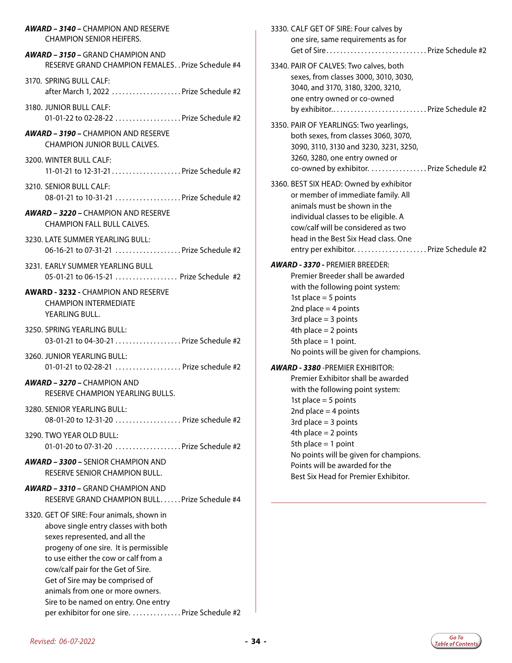| <b>AWARD - 3140 - CHAMPION AND RESERVE</b>                                                                                                                                                                                                                                                                                                                                                                  | 3330. CALF GET OF SIRE: Four calves by                                                                           |
|-------------------------------------------------------------------------------------------------------------------------------------------------------------------------------------------------------------------------------------------------------------------------------------------------------------------------------------------------------------------------------------------------------------|------------------------------------------------------------------------------------------------------------------|
| <b>CHAMPION SENIOR HEIFERS.</b>                                                                                                                                                                                                                                                                                                                                                                             | one sire, same requirements as for                                                                               |
| <b>AWARD - 3150 - GRAND CHAMPION AND</b>                                                                                                                                                                                                                                                                                                                                                                    |                                                                                                                  |
| RESERVE GRAND CHAMPION FEMALES Prize Schedule #4                                                                                                                                                                                                                                                                                                                                                            | 3340. PAIR OF CALVES: Two calves, both                                                                           |
| 3170. SPRING BULL CALF:<br>after March 1, 2022  Prize Schedule #2                                                                                                                                                                                                                                                                                                                                           | sexes, from classes 3000, 3010, 3030,<br>3040, and 3170, 3180, 3200, 3210,<br>one entry owned or co-owned        |
| 3180. JUNIOR BULL CALF:                                                                                                                                                                                                                                                                                                                                                                                     | by exhibitor Prize Schedule #2                                                                                   |
| 01-01-22 to 02-28-22  Prize Schedule #2                                                                                                                                                                                                                                                                                                                                                                     | 3350. PAIR OF YEARLINGS: Two yearlings,                                                                          |
| <b>AWARD - 3190 - CHAMPION AND RESERVE</b>                                                                                                                                                                                                                                                                                                                                                                  | both sexes, from classes 3060, 3070,                                                                             |
| <b>CHAMPION JUNIOR BULL CALVES.</b>                                                                                                                                                                                                                                                                                                                                                                         | 3090, 3110, 3130 and 3230, 3231, 3250,                                                                           |
| 3200. WINTER BULL CALF:                                                                                                                                                                                                                                                                                                                                                                                     | 3260, 3280, one entry owned or                                                                                   |
|                                                                                                                                                                                                                                                                                                                                                                                                             | co-owned by exhibitor. Prize Schedule #2                                                                         |
| 3210. SENIOR BULL CALF:                                                                                                                                                                                                                                                                                                                                                                                     | 3360. BEST SIX HEAD: Owned by exhibitor                                                                          |
| 08-01-21 to 10-31-21  Prize Schedule #2                                                                                                                                                                                                                                                                                                                                                                     | or member of immediate family. All                                                                               |
| <b>AWARD - 3220 - CHAMPION AND RESERVE</b><br><b>CHAMPION FALL BULL CALVES.</b>                                                                                                                                                                                                                                                                                                                             | animals must be shown in the<br>individual classes to be eligible. A<br>cow/calf will be considered as two       |
| 3230. LATE SUMMER YEARLING BULL:                                                                                                                                                                                                                                                                                                                                                                            | head in the Best Six Head class. One                                                                             |
| 06-16-21 to 07-31-21  Prize Schedule #2                                                                                                                                                                                                                                                                                                                                                                     |                                                                                                                  |
| 3231. EARLY SUMMER YEARLING BULL                                                                                                                                                                                                                                                                                                                                                                            | <b>AWARD - 3370 - PREMIER BREEDER:</b>                                                                           |
| 05-01-21 to 06-15-21  Prize Schedule #2                                                                                                                                                                                                                                                                                                                                                                     | Premier Breeder shall be awarded                                                                                 |
| <b>AWARD - 3232 - CHAMPION AND RESERVE</b><br><b>CHAMPION INTERMEDIATE</b><br>YEARLING BULL.                                                                                                                                                                                                                                                                                                                | with the following point system:<br>1st place $=$ 5 points<br>2nd place $=$ 4 points<br>3rd place $=$ 3 points   |
| 3250. SPRING YEARLING BULL:                                                                                                                                                                                                                                                                                                                                                                                 | 4th place $= 2$ points                                                                                           |
| 03-01-21 to 04-30-21  Prize Schedule #2                                                                                                                                                                                                                                                                                                                                                                     | 5th place $= 1$ point.                                                                                           |
| 3260. JUNIOR YEARLING BULL:                                                                                                                                                                                                                                                                                                                                                                                 | No points will be given for champions.                                                                           |
| 01-01-21 to 02-28-21  Prize schedule #2                                                                                                                                                                                                                                                                                                                                                                     | <b>AWARD - 3380 - PREMIER EXHIBITOR:</b>                                                                         |
| <b>AWARD - 3270 - CHAMPION AND</b><br>RESERVE CHAMPION YEARLING BULLS.                                                                                                                                                                                                                                                                                                                                      | Premier Exhibitor shall be awarded<br>with the following point system:<br>1st place $=$ 5 points                 |
| 3280. SENIOR YEARLING BULL:                                                                                                                                                                                                                                                                                                                                                                                 | 2nd place $=$ 4 points                                                                                           |
| 08-01-20 to 12-31-20  Prize schedule #2                                                                                                                                                                                                                                                                                                                                                                     | 3rd place $=$ 3 points                                                                                           |
| 3290. TWO YEAR OLD BULL:                                                                                                                                                                                                                                                                                                                                                                                    | 4th place $= 2$ points                                                                                           |
| 01-01-20 to 07-31-20  Prize Schedule #2                                                                                                                                                                                                                                                                                                                                                                     | 5th place $= 1$ point                                                                                            |
| <b>AWARD - 3300 - SENIOR CHAMPION AND</b><br>RESERVE SENIOR CHAMPION BULL.                                                                                                                                                                                                                                                                                                                                  | No points will be given for champions.<br>Points will be awarded for the<br>Best Six Head for Premier Exhibitor. |
| <b>AWARD - 3310 - GRAND CHAMPION AND</b><br>RESERVE GRAND CHAMPION BULLPrize Schedule #4                                                                                                                                                                                                                                                                                                                    |                                                                                                                  |
| 3320. GET OF SIRE: Four animals, shown in<br>above single entry classes with both<br>sexes represented, and all the<br>progeny of one sire. It is permissible<br>to use either the cow or calf from a<br>cow/calf pair for the Get of Sire.<br>Get of Sire may be comprised of<br>animals from one or more owners.<br>Sire to be named on entry. One entry<br>per exhibitor for one sire. Prize Schedule #2 |                                                                                                                  |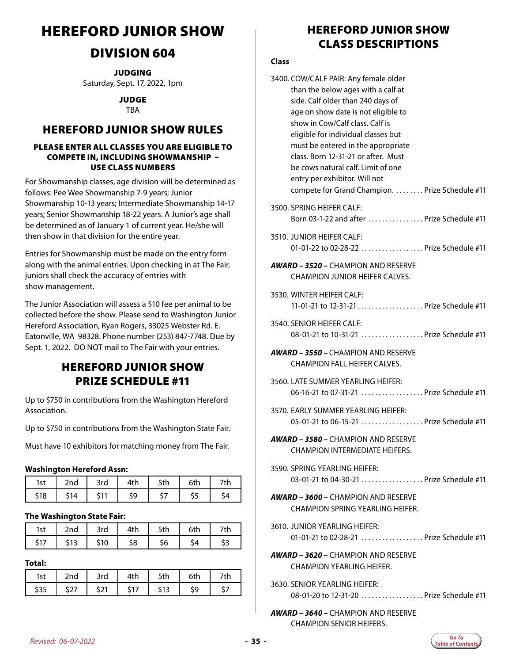# <span id="page-34-0"></span>HEREFORD JUNIOR SHOW

### DIVISION 604

**JUDGING** Saturday, Sept. 17, 2022, 1pm

JUDGE

TBA

### HEREFORD JUNIOR SHOW RULES

#### PLEASE ENTER ALL CLASSES YOU ARE ELIGIBLE TO COMPETE IN, INCLUDING SHOWMANSHIP – USE CLASS NUMBERS

For Showmanship classes, age division will be determined as follows: Pee Wee Showmanship 7-9 years; Junior Showmanship 10-13 years; Intermediate Showmanship 14-17 years; Senior Showmanship 18-22 years. A Junior's age shall be determined as of January 1 of current year. He/she will then show in that division for the entire year.

Entries for Showmanship must be made on the entry form along with the animal entries. Upon checking in at The Fair, juniors shall check the accuracy of entries with show management.

The Junior Association will assess a \$10 fee per animal to be collected before the show. Please send to Washington Junior Hereford Association, Ryan Rogers, 33025 Webster Rd. E. Eatonville, WA 98328. Phone number (253) 847-7748. Due by Sept. 1, 2022. DO NOT mail to The Fair with your entries.

### HEREFORD JUNIOR SHOW PRIZE SCHEDULE #11

Up to \$750 in contributions from the Washington Hereford Association.

Up to \$750 in contributions from the Washington State Fair.

Must have 10 exhibitors for matching money from The Fair.

#### **Washington Hereford Assn:**

| Ist  | 2nd | 3rd                 | 4th | 5th | 6th | 7th |
|------|-----|---------------------|-----|-----|-----|-----|
| \$18 | 14  | ۰ م<br>$\mathbf{I}$ | ۲Q  |     | ຸວ  |     |

#### **The Washington State Fair:**

| . e t<br>っぃ | h∩^          | 3rd | `ŧh | r±L<br>วเม | $6 + h$ | th |
|-------------|--------------|-----|-----|------------|---------|----|
|             | - 1 -<br>. . |     | \$8 |            |         |    |

**Total:**

| ˈst | 2nd          | 3rd               | $4 + L$ | u   | .t⊦ | $7 + h$<br>ีแ |
|-----|--------------|-------------------|---------|-----|-----|---------------|
| נכי | $\leftarrow$ | <b>Ani</b><br>. . |         | داڊ | ۲Q  |               |

### HEREFORD JUNIOR SHOW CLASS DESCRIPTIONS

#### **Class**

| 3400. COW/CALF PAIR: Any female older<br>than the below ages with a calf at<br>side. Calf older than 240 days of<br>age on show date is not eligible to<br>show in Cow/Calf class. Calf is<br>eligible for individual classes but<br>must be entered in the appropriate<br>class. Born 12-31-21 or after. Must<br>be cows natural calf. Limit of one<br>entry per exhibitor. Will not<br>compete for Grand Champion. Prize Schedule #11 |
|-----------------------------------------------------------------------------------------------------------------------------------------------------------------------------------------------------------------------------------------------------------------------------------------------------------------------------------------------------------------------------------------------------------------------------------------|
| 3500. SPRING HEIFER CALF:<br>Born 03-1-22 and after  Prize Schedule #11                                                                                                                                                                                                                                                                                                                                                                 |
| 3510. JUNIOR HEIFFR CALF:<br>01-01-22 to 02-28-22  Prize Schedule #11                                                                                                                                                                                                                                                                                                                                                                   |
| <b>AWARD – 3520 –</b> CHAMPION AND RESERVE<br><b>CHAMPION JUNIOR HEIFER CALVES.</b>                                                                                                                                                                                                                                                                                                                                                     |
| 3530. WINTER HEIFER CALF:<br>11-01-21 to 12-31-21  Prize Schedule #11                                                                                                                                                                                                                                                                                                                                                                   |
| 3540. SENIOR HEIFER CALF:<br>08-01-21 to 10-31-21  Prize Schedule #11                                                                                                                                                                                                                                                                                                                                                                   |
| <b>AWARD - 3550 - CHAMPION AND RESERVE</b><br><b>CHAMPION FALL HEIFER CALVES.</b>                                                                                                                                                                                                                                                                                                                                                       |
| 3560. LATE SUMMER YEARLING HEIFER:<br>06-16-21 to 07-31-21  Prize Schedule #11                                                                                                                                                                                                                                                                                                                                                          |
| 3570. EARLY SUMMER YEARLING HEIFER:<br>05-01-21 to 06-15-21  Prize Schedule #11                                                                                                                                                                                                                                                                                                                                                         |
| <b>AWARD – 3580 –</b> CHAMPION AND RESERVE<br>CHAMPION INTERMEDIATE HEIFERS.                                                                                                                                                                                                                                                                                                                                                            |
| 3590. SPRING YEARLING HEIFER:<br>03-01-21 to 04-30-21  Prize Schedule #11                                                                                                                                                                                                                                                                                                                                                               |
| <b>AWARD - 3600 - CHAMPION AND RESERVE</b><br><b>CHAMPION SPRING YEARLING HEIFER.</b>                                                                                                                                                                                                                                                                                                                                                   |
| 3610. JUNIOR YEARLING HEIFER:<br>01-01-21 to 02-28-21  Prize Schedule #11                                                                                                                                                                                                                                                                                                                                                               |
| <b>AWARD - 3620 - CHAMPION AND RESERVE</b><br><b>CHAMPION YEARLING HEIFER.</b>                                                                                                                                                                                                                                                                                                                                                          |
| 3630. SENIOR YEARLING HEIFER:<br>08-01-20 to 12-31-20 Prize Schedule #11                                                                                                                                                                                                                                                                                                                                                                |
|                                                                                                                                                                                                                                                                                                                                                                                                                                         |

*AWARD – 3640 –* CHAMPION AND RESERVE CHAMPION SENIOR HEIFERS.

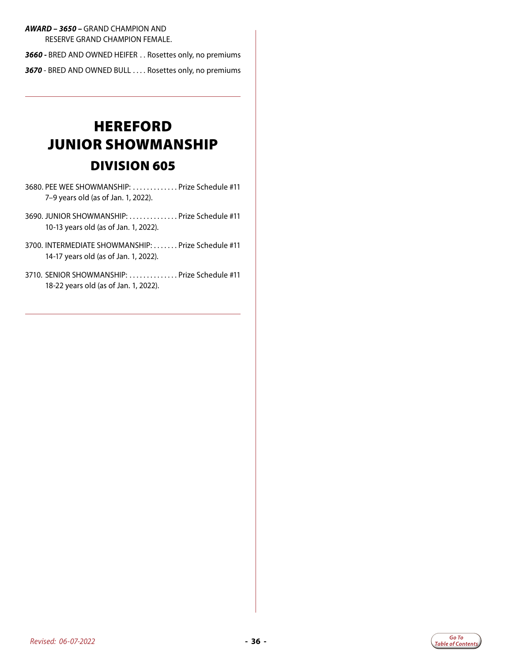#### <span id="page-35-0"></span>*AWARD – 3650 –* GRAND CHAMPION AND RESERVE GRAND CHAMPION FEMALE.

*3660 -* BRED AND OWNED HEIFER . . Rosettes only, no premiums *3670* - BRED AND OWNED BULL . . Rosettes only, no premiums

# **HEREFORD** JUNIOR SHOWMANSHIP DIVISION 605

- 3680. PEE WEE SHOWMANSHIP: ............ Prize Schedule #11 7–9 years old (as of Jan. 1, 2022).
- 3690. JUNIOR SHOWMANSHIP: ............. Prize Schedule #11 10-13 years old (as of Jan. 1, 2022).
- 3700. INTERMEDIATE SHOWMANSHIP: ....... Prize Schedule #11 14-17 years old (as of Jan. 1, 2022).
- 3710. SENIOR SHOWMANSHIP: ............. Prize Schedule #11 18-22 years old (as of Jan. 1, 2022).

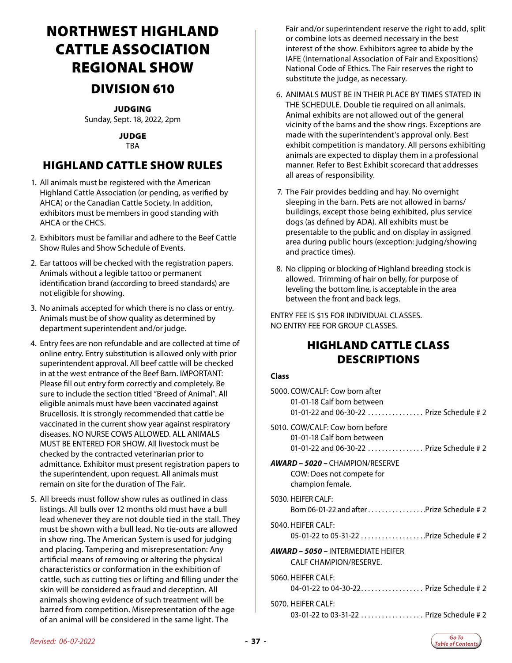# <span id="page-36-0"></span>NORTHWEST HIGHLAND CATTLE ASSOCIATION REGIONAL SHOW DIVISION 610

#### JUDGING

Sunday, Sept. 18, 2022, 2pm

JUDGE TBA

### HIGHLAND CATTLE SHOW RULES

- 1. All animals must be registered with the American Highland Cattle Association (or pending, as verified by AHCA) or the Canadian Cattle Society. In addition, exhibitors must be members in good standing with AHCA or the CHCS.
- 2. Exhibitors must be familiar and adhere to the Beef Cattle Show Rules and Show Schedule of Events.
- 2. Ear tattoos will be checked with the registration papers. Animals without a legible tattoo or permanent identification brand (according to breed standards) are not eligible for showing.
- 3. No animals accepted for which there is no class or entry. Animals must be of show quality as determined by department superintendent and/or judge.
- 4. Entry fees are non refundable and are collected at time of online entry. Entry substitution is allowed only with prior superintendent approval. All beef cattle will be checked in at the west entrance of the Beef Barn. IMPORTANT: Please fill out entry form correctly and completely. Be sure to include the section titled "Breed of Animal". All eligible animals must have been vaccinated against Brucellosis. It is strongly recommended that cattle be vaccinated in the current show year against respiratory diseases. NO NURSE COWS ALLOWED. ALL ANIMALS MUST BE ENTERED FOR SHOW. All livestock must be checked by the contracted veterinarian prior to admittance. Exhibitor must present registration papers to the superintendent, upon request. All animals must remain on site for the duration of The Fair.
- 5. All breeds must follow show rules as outlined in class listings. All bulls over 12 months old must have a bull lead whenever they are not double tied in the stall. They must be shown with a bull lead. No tie-outs are allowed in show ring. The American System is used for judging and placing. Tampering and misrepresentation: Any artificial means of removing or altering the physical characteristics or conformation in the exhibition of cattle, such as cutting ties or lifting and filling under the skin will be considered as fraud and deception. All animals showing evidence of such treatment will be barred from competition. Misrepresentation of the age of an animal will be considered in the same light. The

Fair and/or superintendent reserve the right to add, split or combine lots as deemed necessary in the best interest of the show. Exhibitors agree to abide by the IAFE (International Association of Fair and Expositions) National Code of Ethics. The Fair reserves the right to substitute the judge, as necessary.

- 6. ANIMALS MUST BE IN THEIR PLACE BY TIMES STATED IN THE SCHEDULE. Double tie required on all animals. Animal exhibits are not allowed out of the general vicinity of the barns and the show rings. Exceptions are made with the superintendent's approval only. Best exhibit competition is mandatory. All persons exhibiting animals are expected to display them in a professional manner. Refer to Best Exhibit scorecard that addresses all areas of responsibility.
- 7. The Fair provides bedding and hay. No overnight sleeping in the barn. Pets are not allowed in barns/ buildings, except those being exhibited, plus service dogs (as defined by ADA). All exhibits must be presentable to the public and on display in assigned area during public hours (exception: judging/showing and practice times).
- 8. No clipping or blocking of Highland breeding stock is allowed. Trimming of hair on belly, for purpose of leveling the bottom line, is acceptable in the area between the front and back legs.

ENTRY FEE IS \$15 FOR INDIVIDUAL CLASSES. NO ENTRY FEE FOR GROUP CLASSES.

### HIGHLAND CATTLE CLASS DESCRIPTIONS

#### **Class**

| 5000. COW/CALF: Cow born after<br>01-01-18 Calf born between<br>01-01-22 and 06-30-22  Prize Schedule # 2  |
|------------------------------------------------------------------------------------------------------------|
| 5010. COW/CALF: Cow born before<br>01-01-18 Calf born between<br>01-01-22 and 06-30-22  Prize Schedule # 2 |
| <b>AWARD – 5020 –</b> CHAMPION/RESERVE<br>COW: Does not compete for<br>champion female.                    |
| 5030. HEIFER CALF:<br>Born 06-01-22 and after Prize Schedule # 2                                           |
| 5040. HFIFFR CAI F:<br>05-01-22 to 05-31-22 Prize Schedule # 2                                             |
| <b>AWARD – 5050 –</b> INTERMEDIATE HEIFER<br>CALF CHAMPION/RESERVE.                                        |
| 5060. HEIFER CALF:<br>04-01-22 to 04-30-22 Prize Schedule # 2                                              |
| 5070. HEIFER CALF:<br>03-01-22 to 03-31-22  Prize Schedule # 2                                             |
|                                                                                                            |

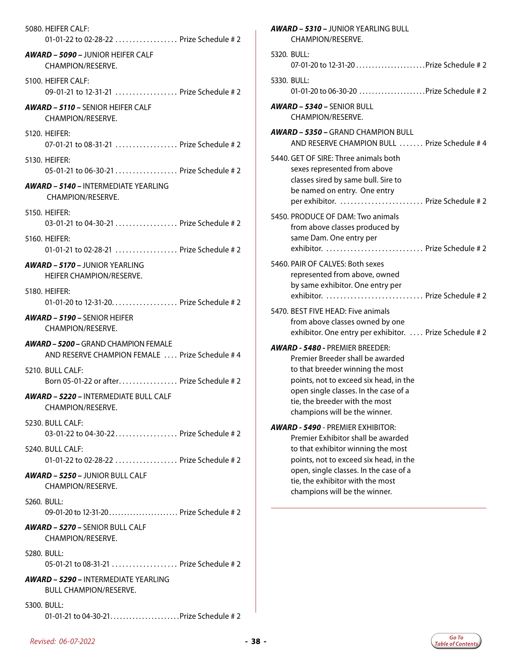| 5080. HEIFER CALF:<br>01-01-22 to 02-28-22  Prize Schedule # 2                                |
|-----------------------------------------------------------------------------------------------|
| <b>AWARD - 5090 - JUNIOR HEIFER CALF</b><br>CHAMPION/RESERVE.                                 |
| 5100. HEIFER CALF:<br>09-01-21 to 12-31-21  Prize Schedule # 2                                |
| <b>AWARD - 5110 - SENIOR HEIFFR CALE</b><br>CHAMPION/RESERVE.                                 |
| 5120. HEIFER:<br>07-01-21 to 08-31-21  Prize Schedule # 2                                     |
| 5130. HEIFER:<br>05-01-21 to 06-30-21  Prize Schedule # 2                                     |
| <b>AWARD - 5140 - INTERMEDIATE YEARLING</b><br>CHAMPION/RESERVE.                              |
| 5150. HEIFER:<br>03-01-21 to 04-30-21  Prize Schedule # 2                                     |
| 5160. HEIFER:<br>01-01-21 to 02-28-21  Prize Schedule # 2                                     |
| <b>AWARD – 5170 – JUNIOR YEARLING</b><br>HEIFER CHAMPION/RESERVE.                             |
| 5180. HEIFER:<br>01-01-20 to 12-31-20. Prize Schedule # 2                                     |
| AWARD – 5190 – SENIOR HEIFER<br>CHAMPION/RESERVE.                                             |
| <b>AWARD – 5200 –</b> GRAND CHAMPION FEMALE<br>AND RESERVE CHAMPION FEMALE  Prize Schedule #4 |
| 5210. BULL CALE:<br>Born 05-01-22 or after Prize Schedule #2                                  |
| <b>AWARD - 5220 - INTERMEDIATE BULL CALE</b><br>CHAMPION/RESERVE.                             |
| 5230. BULL CALF:<br>03-01-22 to 04-30-22 Prize Schedule # 2                                   |
| 5240. BULL CALF:<br>01-01-22 to 02-28-22  Prize Schedule # 2                                  |
| <b>AWARD - 5250 - JUNIOR BULL CALF</b><br>CHAMPION/RESERVE.                                   |
| 5260. BULL:<br>09-01-20 to 12-31-20 Prize Schedule # 2                                        |
| <b>AWARD - 5270 - SENIOR BULL CALF</b><br>CHAMPION/RESERVE.                                   |
| 5280. BULL:<br>05-01-21 to 08-31-21  Prize Schedule # 2                                       |
| <b>AWARD – 5290 – INTERMEDIATE YEARLING</b><br>BULL CHAMPION/RESERVE.                         |
| 5300. BULL:<br>01-01-21 to 04-30-21 Prize Schedule # 2                                        |

| <b>AWARD - 5310 - JUNIOR YEARLING BULL</b><br>CHAMPION/RESERVE.                                                                                                                                                                                                               |
|-------------------------------------------------------------------------------------------------------------------------------------------------------------------------------------------------------------------------------------------------------------------------------|
| 5320. BULL:                                                                                                                                                                                                                                                                   |
| 5330. BULL:<br>01-01-20 to 06-30-20  Prize Schedule # 2                                                                                                                                                                                                                       |
| <b>AWARD - 5340 - SENIOR BULL</b><br>CHAMPION/RESERVE.                                                                                                                                                                                                                        |
| $AWARD - 5350 - GRAND CHAMPION BULL$<br>AND RESERVE CHAMPION BULL  Prize Schedule # 4                                                                                                                                                                                         |
| 5440. GET OF SIRE: Three animals both<br>sexes represented from above<br>classes sired by same bull. Sire to<br>be named on entry. One entry<br>per exhibitor.  Prize Schedule #2                                                                                             |
| 5450. PRODUCE OF DAM: Two animals<br>from above classes produced by<br>same Dam. One entry per<br>exhibitor.  Prize Schedule # 2                                                                                                                                              |
| 5460. PAIR OF CALVES: Both sexes<br>represented from above, owned<br>by same exhibitor. One entry per<br>exhibitor.  Prize Schedule #2                                                                                                                                        |
| 5470. BEST FIVE HEAD: Five animals<br>from above classes owned by one<br>exhibitor. One entry per exhibitor.  Prize Schedule #2                                                                                                                                               |
| <b>AWARD - 5480 - PREMIER BREEDER:</b><br>Premier Breeder shall be awarded<br>to that breeder winning the most<br>points, not to exceed six head, in the<br>open single classes. In the case of a<br>tie, the breeder with the most<br>champions will be the winner.          |
| <b>AWARD - 5490 - PREMIER EXHIBITOR:</b><br>Premier Exhibitor shall be awarded<br>to that exhibitor winning the most<br>points, not to exceed six head, in the<br>open, single classes. In the case of a<br>tie, the exhibitor with the most<br>champions will be the winner. |